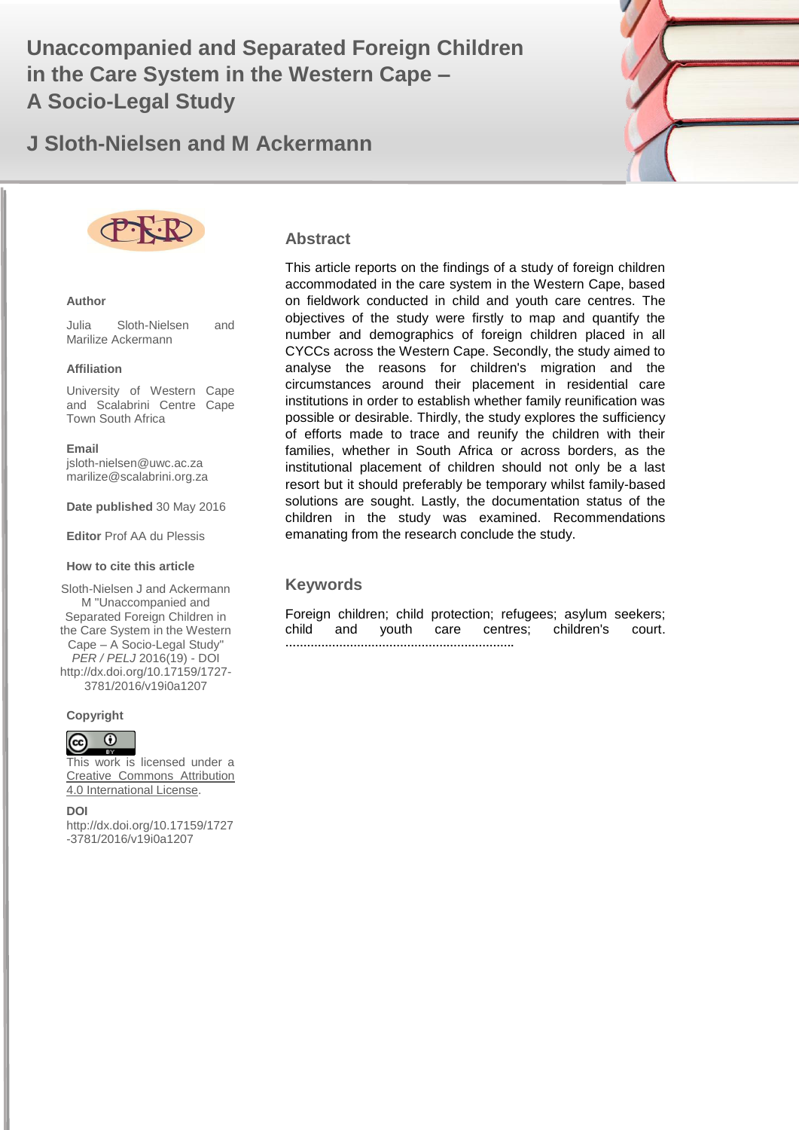Unaccompanied and Separated Foreign Children **1997 in the Care System in the Western Cape – A Socio-Legal Study**

**J Sloth-Nielsen and M Ackermann**





#### **Author**

Julia Sloth-Nielsen and Marilize Ackermann

#### **Affiliation**

University of Western Cape and Scalabrini Centre Cape Town South Africa

#### **Email**

jsloth-nielsen@uwc.ac.za marilize@scalabrini.org.za

**Date published** 30 May 2016

**Editor** Prof AA du Plessis

#### **How to cite this article**

Sloth-Nielsen J and Ackermann M "Unaccompanied and Separated Foreign Children in the Care System in the Western Cape – A Socio-Legal Study" *PER / PELJ* 2016(19) - DOI http://dx.doi.org/10.17159/1727- 3781/2016/v19i0a1207

**Copyright**



This work is licensed under a [Creative Commons Attribution](http://creativecommons.org/licenses/by/4.0/)  [4.0 International License.](http://creativecommons.org/licenses/by/4.0/)

**DOI** 

http://dx.doi.org/10.17159/1727 -3781/2016/v19i0a1207

#### **Abstract**

This article reports on the findings of a study of foreign children accommodated in the care system in the Western Cape, based on fieldwork conducted in child and youth care centres. The objectives of the study were firstly to map and quantify the number and demographics of foreign children placed in all CYCCs across the Western Cape. Secondly, the study aimed to analyse the reasons for children's migration and the circumstances around their placement in residential care institutions in order to establish whether family reunification was possible or desirable. Thirdly, the study explores the sufficiency of efforts made to trace and reunify the children with their families, whether in South Africa or across borders, as the institutional placement of children should not only be a last resort but it should preferably be temporary whilst family-based solutions are sought. Lastly, the documentation status of the children in the study was examined. Recommendations emanating from the research conclude the study.

#### **Keywords**

Foreign children; child protection; refugees; asylum seekers; child and youth care centres; children's court. **……………………………………………………….**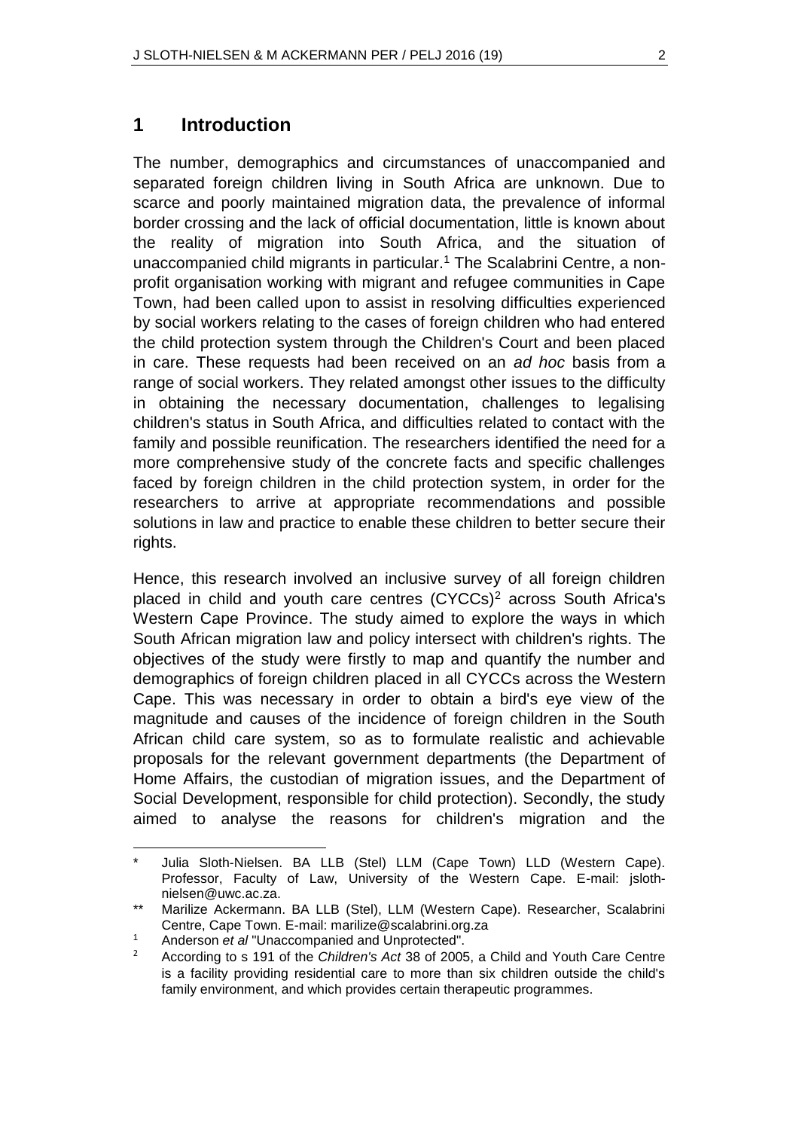# **1 Introduction**

The number, demographics and circumstances of unaccompanied and separated foreign children living in South Africa are unknown. Due to scarce and poorly maintained migration data, the prevalence of informal border crossing and the lack of official documentation, little is known about the reality of migration into South Africa, and the situation of unaccompanied child migrants in particular.<sup>1</sup> The Scalabrini Centre, a nonprofit organisation working with migrant and refugee communities in Cape Town, had been called upon to assist in resolving difficulties experienced by social workers relating to the cases of foreign children who had entered the child protection system through the Children's Court and been placed in care. These requests had been received on an *ad hoc* basis from a range of social workers. They related amongst other issues to the difficulty in obtaining the necessary documentation, challenges to legalising children's status in South Africa, and difficulties related to contact with the family and possible reunification. The researchers identified the need for a more comprehensive study of the concrete facts and specific challenges faced by foreign children in the child protection system, in order for the researchers to arrive at appropriate recommendations and possible solutions in law and practice to enable these children to better secure their rights.

Hence, this research involved an inclusive survey of all foreign children placed in child and youth care centres (CYCCs)<sup>2</sup> across South Africa's Western Cape Province. The study aimed to explore the ways in which South African migration law and policy intersect with children's rights. The objectives of the study were firstly to map and quantify the number and demographics of foreign children placed in all CYCCs across the Western Cape. This was necessary in order to obtain a bird's eye view of the magnitude and causes of the incidence of foreign children in the South African child care system, so as to formulate realistic and achievable proposals for the relevant government departments (the Department of Home Affairs, the custodian of migration issues, and the Department of Social Development, responsible for child protection). Secondly, the study aimed to analyse the reasons for children's migration and the

l \* Julia Sloth-Nielsen. BA LLB (Stel) LLM (Cape Town) LLD (Western Cape). Professor, Faculty of Law, University of the Western Cape. E-mail: jslothnielsen@uwc.ac.za.

<sup>\*\*</sup> Marilize Ackermann. BA LLB (Stel), LLM (Western Cape). Researcher, Scalabrini Centre, Cape Town. E-mail: marilize@scalabrini.org.za

<sup>1</sup> Anderson *et al* "Unaccompanied and Unprotected".

<sup>2</sup> According to s 191 of the *Children's Act* 38 of 2005, a Child and Youth Care Centre is a facility providing residential care to more than six children outside the child's family environment, and which provides certain therapeutic programmes.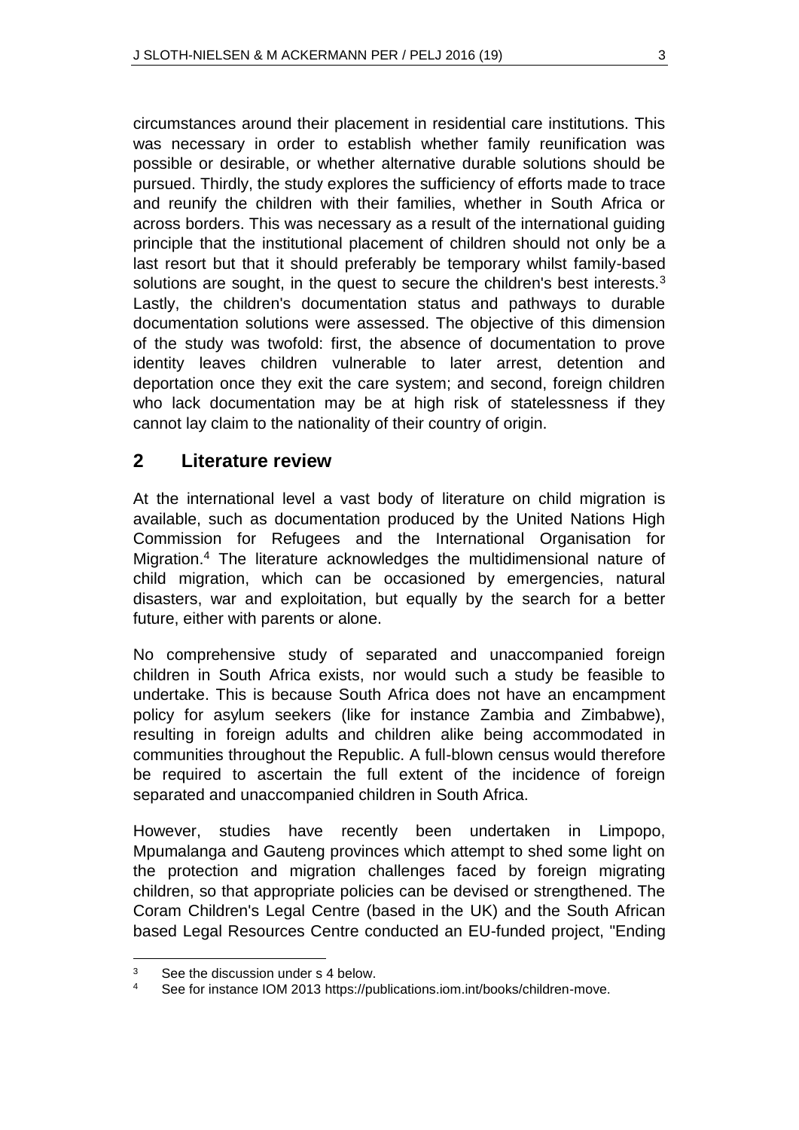circumstances around their placement in residential care institutions. This was necessary in order to establish whether family reunification was possible or desirable, or whether alternative durable solutions should be pursued. Thirdly, the study explores the sufficiency of efforts made to trace and reunify the children with their families, whether in South Africa or across borders. This was necessary as a result of the international guiding principle that the institutional placement of children should not only be a last resort but that it should preferably be temporary whilst family-based solutions are sought, in the quest to secure the children's best interests.<sup>3</sup> Lastly, the children's documentation status and pathways to durable documentation solutions were assessed. The objective of this dimension of the study was twofold: first, the absence of documentation to prove identity leaves children vulnerable to later arrest, detention and deportation once they exit the care system; and second, foreign children who lack documentation may be at high risk of statelessness if they cannot lay claim to the nationality of their country of origin.

# **2 Literature review**

At the international level a vast body of literature on child migration is available, such as documentation produced by the United Nations High Commission for Refugees and the International Organisation for Migration.<sup>4</sup> The literature acknowledges the multidimensional nature of child migration, which can be occasioned by emergencies, natural disasters, war and exploitation, but equally by the search for a better future, either with parents or alone.

No comprehensive study of separated and unaccompanied foreign children in South Africa exists, nor would such a study be feasible to undertake. This is because South Africa does not have an encampment policy for asylum seekers (like for instance Zambia and Zimbabwe), resulting in foreign adults and children alike being accommodated in communities throughout the Republic. A full-blown census would therefore be required to ascertain the full extent of the incidence of foreign separated and unaccompanied children in South Africa.

However, studies have recently been undertaken in Limpopo, Mpumalanga and Gauteng provinces which attempt to shed some light on the protection and migration challenges faced by foreign migrating children, so that appropriate policies can be devised or strengthened. The Coram Children's Legal Centre (based in the UK) and the South African based Legal Resources Centre conducted an EU-funded project, "Ending

l <sup>3</sup> See the discussion under s 4 below.

See for instance IOM 2013 https://publications.iom.int/books/children-move.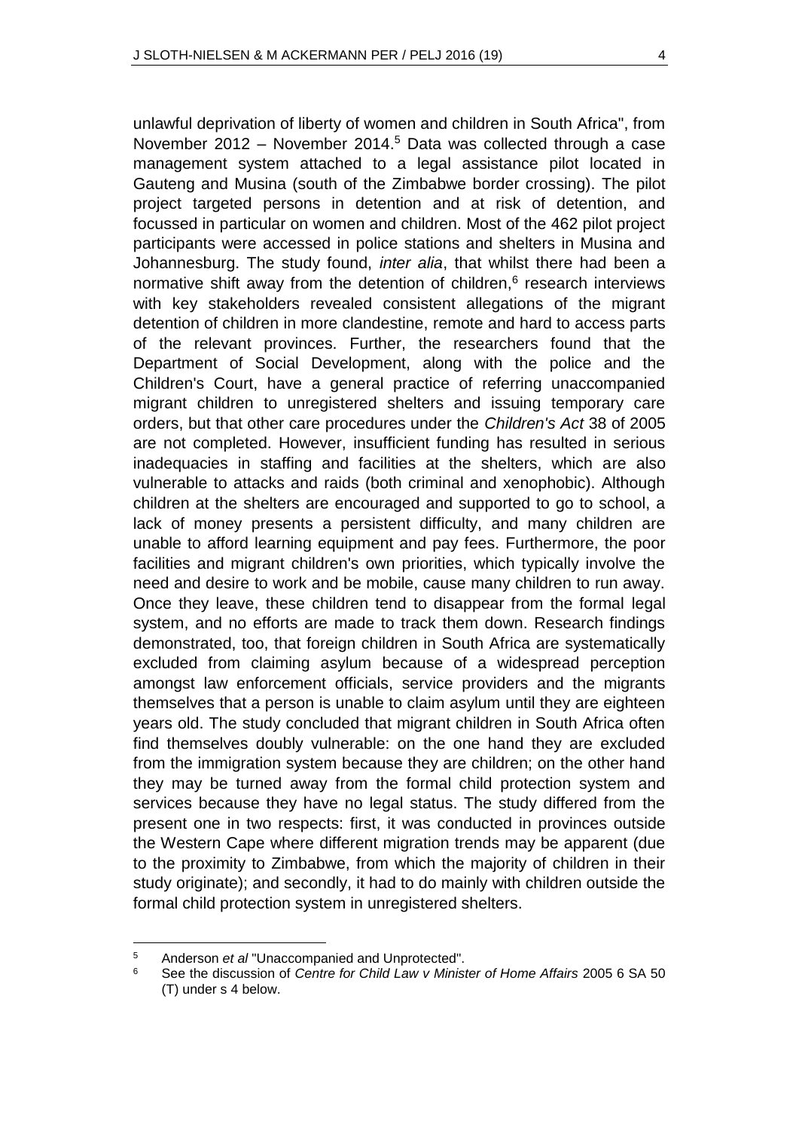unlawful deprivation of liberty of women and children in South Africa", from November 2012 – November 2014.<sup>5</sup> Data was collected through a case management system attached to a legal assistance pilot located in Gauteng and Musina (south of the Zimbabwe border crossing). The pilot project targeted persons in detention and at risk of detention, and focussed in particular on women and children. Most of the 462 pilot project participants were accessed in police stations and shelters in Musina and Johannesburg. The study found, *inter alia*, that whilst there had been a normative shift away from the detention of children, $6$  research interviews with key stakeholders revealed consistent allegations of the migrant detention of children in more clandestine, remote and hard to access parts of the relevant provinces. Further, the researchers found that the Department of Social Development, along with the police and the Children's Court, have a general practice of referring unaccompanied migrant children to unregistered shelters and issuing temporary care orders, but that other care procedures under the *Children's Act* 38 of 2005 are not completed. However, insufficient funding has resulted in serious inadequacies in staffing and facilities at the shelters, which are also vulnerable to attacks and raids (both criminal and xenophobic). Although children at the shelters are encouraged and supported to go to school, a lack of money presents a persistent difficulty, and many children are unable to afford learning equipment and pay fees. Furthermore, the poor facilities and migrant children's own priorities, which typically involve the need and desire to work and be mobile, cause many children to run away. Once they leave, these children tend to disappear from the formal legal system, and no efforts are made to track them down. Research findings demonstrated, too, that foreign children in South Africa are systematically excluded from claiming asylum because of a widespread perception amongst law enforcement officials, service providers and the migrants themselves that a person is unable to claim asylum until they are eighteen years old. The study concluded that migrant children in South Africa often find themselves doubly vulnerable: on the one hand they are excluded from the immigration system because they are children; on the other hand they may be turned away from the formal child protection system and services because they have no legal status. The study differed from the present one in two respects: first, it was conducted in provinces outside the Western Cape where different migration trends may be apparent (due to the proximity to Zimbabwe, from which the majority of children in their study originate); and secondly, it had to do mainly with children outside the formal child protection system in unregistered shelters.

 $\overline{a}$ 

<sup>5</sup> Anderson *et al* "Unaccompanied and Unprotected".

<sup>6</sup> See the discussion of *Centre for Child Law v Minister of Home Affairs* 2005 6 SA 50 (T) under s 4 below.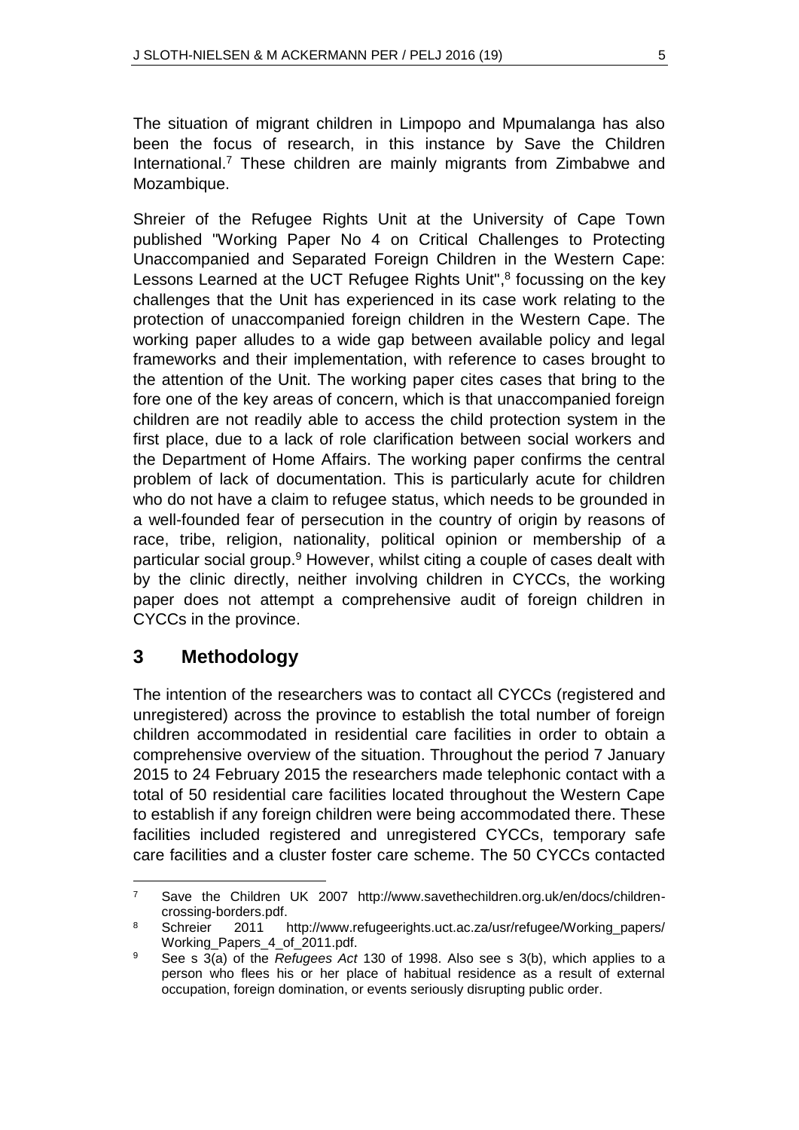The situation of migrant children in Limpopo and Mpumalanga has also been the focus of research, in this instance by Save the Children International.<sup>7</sup> These children are mainly migrants from Zimbabwe and Mozambique.

Shreier of the Refugee Rights Unit at the University of Cape Town published "Working Paper No 4 on Critical Challenges to Protecting Unaccompanied and Separated Foreign Children in the Western Cape: Lessons Learned at the UCT Refugee Rights Unit",<sup>8</sup> focussing on the key challenges that the Unit has experienced in its case work relating to the protection of unaccompanied foreign children in the Western Cape. The working paper alludes to a wide gap between available policy and legal frameworks and their implementation, with reference to cases brought to the attention of the Unit. The working paper cites cases that bring to the fore one of the key areas of concern, which is that unaccompanied foreign children are not readily able to access the child protection system in the first place, due to a lack of role clarification between social workers and the Department of Home Affairs. The working paper confirms the central problem of lack of documentation. This is particularly acute for children who do not have a claim to refugee status, which needs to be grounded in a well-founded fear of persecution in the country of origin by reasons of race, tribe, religion, nationality, political opinion or membership of a particular social group.<sup>9</sup> However, whilst citing a couple of cases dealt with by the clinic directly, neither involving children in CYCCs, the working paper does not attempt a comprehensive audit of foreign children in CYCCs in the province.

# **3 Methodology**

The intention of the researchers was to contact all CYCCs (registered and unregistered) across the province to establish the total number of foreign children accommodated in residential care facilities in order to obtain a comprehensive overview of the situation. Throughout the period 7 January 2015 to 24 February 2015 the researchers made telephonic contact with a total of 50 residential care facilities located throughout the Western Cape to establish if any foreign children were being accommodated there. These facilities included registered and unregistered CYCCs, temporary safe care facilities and a cluster foster care scheme. The 50 CYCCs contacted

l <sup>7</sup> Save the Children UK 2007 http://www.savethechildren.org.uk/en/docs/childrencrossing-borders.pdf.

<sup>8</sup> Schreier 2011 http://www.refugeerights.uct.ac.za/usr/refugee/Working\_papers/ Working\_Papers\_4\_of\_2011.pdf.

<sup>9</sup> See s 3(a) of the *Refugees Act* 130 of 1998. Also see s 3(b), which applies to a person who flees his or her place of habitual residence as a result of external occupation, foreign domination, or events seriously disrupting public order.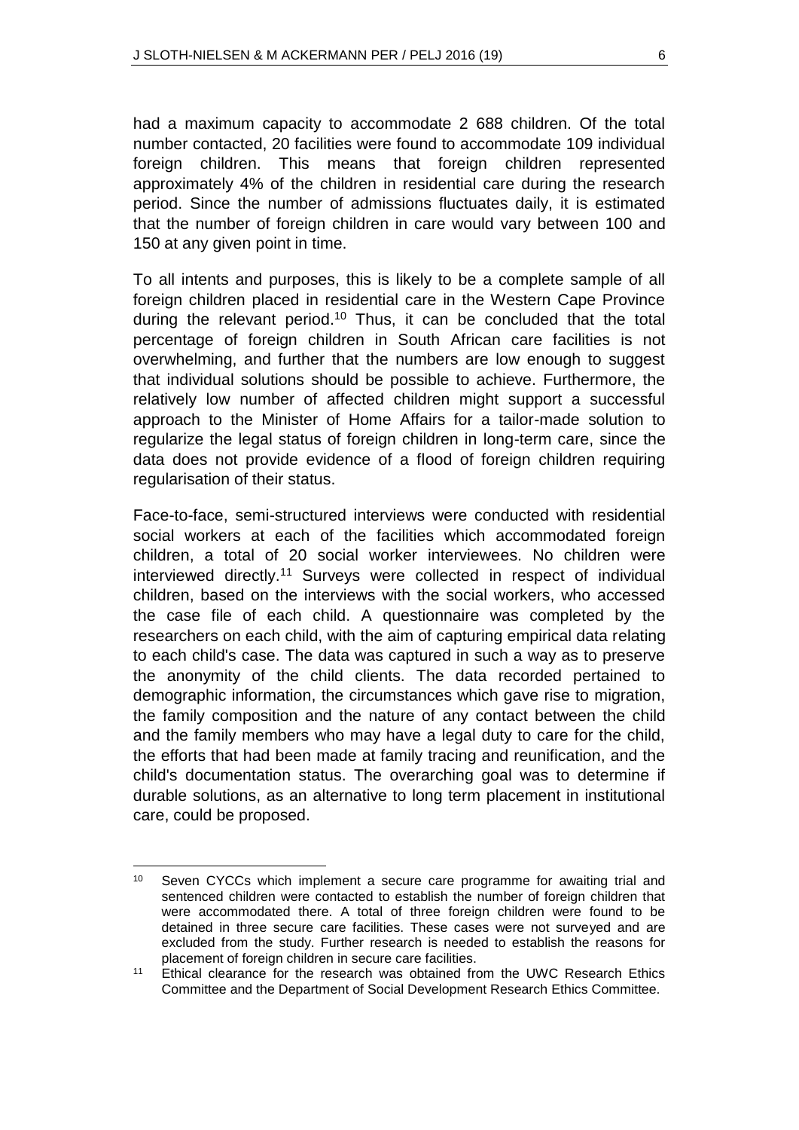had a maximum capacity to accommodate 2 688 children. Of the total number contacted, 20 facilities were found to accommodate 109 individual foreign children. This means that foreign children represented approximately 4% of the children in residential care during the research period. Since the number of admissions fluctuates daily, it is estimated that the number of foreign children in care would vary between 100 and 150 at any given point in time.

To all intents and purposes, this is likely to be a complete sample of all foreign children placed in residential care in the Western Cape Province during the relevant period.<sup>10</sup> Thus, it can be concluded that the total percentage of foreign children in South African care facilities is not overwhelming, and further that the numbers are low enough to suggest that individual solutions should be possible to achieve. Furthermore, the relatively low number of affected children might support a successful approach to the Minister of Home Affairs for a tailor-made solution to regularize the legal status of foreign children in long-term care, since the data does not provide evidence of a flood of foreign children requiring regularisation of their status.

Face-to-face, semi-structured interviews were conducted with residential social workers at each of the facilities which accommodated foreign children, a total of 20 social worker interviewees. No children were interviewed directly.<sup>11</sup> Surveys were collected in respect of individual children, based on the interviews with the social workers, who accessed the case file of each child. A questionnaire was completed by the researchers on each child, with the aim of capturing empirical data relating to each child's case. The data was captured in such a way as to preserve the anonymity of the child clients. The data recorded pertained to demographic information, the circumstances which gave rise to migration, the family composition and the nature of any contact between the child and the family members who may have a legal duty to care for the child, the efforts that had been made at family tracing and reunification, and the child's documentation status. The overarching goal was to determine if durable solutions, as an alternative to long term placement in institutional care, could be proposed.

<sup>&</sup>lt;sup>10</sup> Seven CYCCs which implement a secure care programme for awaiting trial and sentenced children were contacted to establish the number of foreign children that were accommodated there. A total of three foreign children were found to be detained in three secure care facilities. These cases were not surveyed and are excluded from the study. Further research is needed to establish the reasons for placement of foreign children in secure care facilities.

<sup>&</sup>lt;sup>11</sup> Ethical clearance for the research was obtained from the UWC Research Ethics Committee and the Department of Social Development Research Ethics Committee.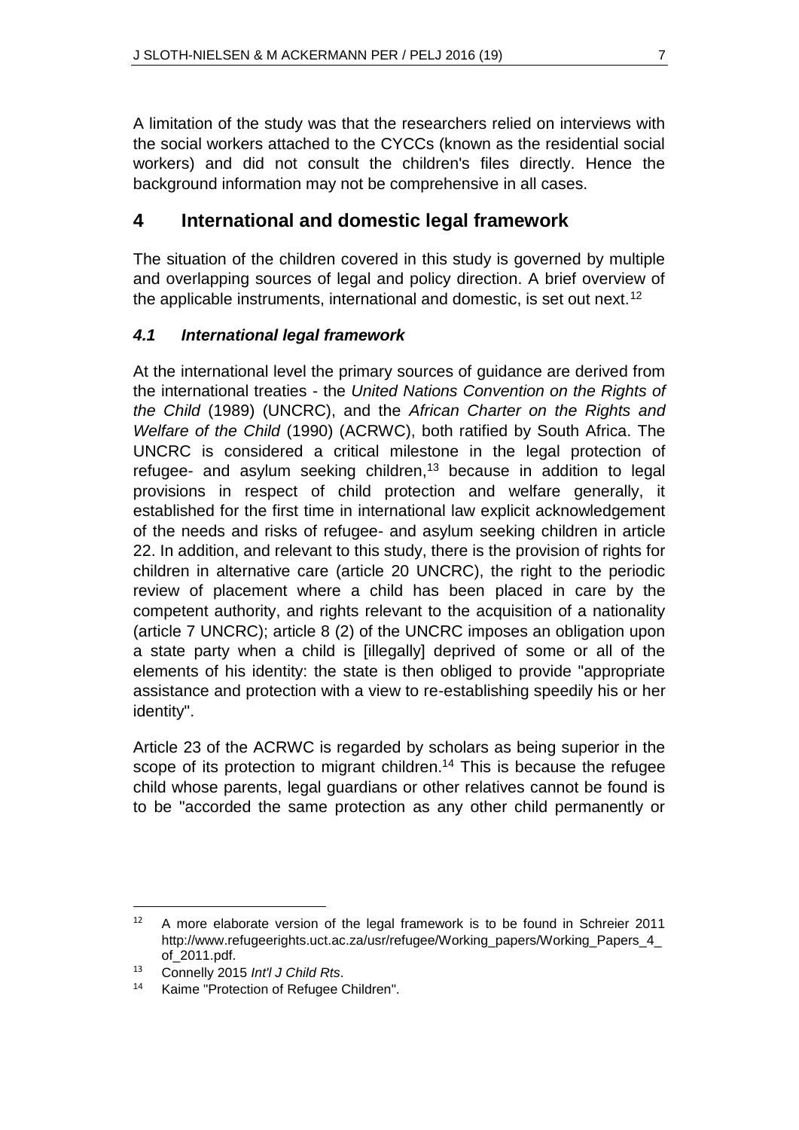A limitation of the study was that the researchers relied on interviews with the social workers attached to the CYCCs (known as the residential social workers) and did not consult the children's files directly. Hence the background information may not be comprehensive in all cases.

# **4 International and domestic legal framework**

The situation of the children covered in this study is governed by multiple and overlapping sources of legal and policy direction. A brief overview of the applicable instruments, international and domestic, is set out next.<sup>12</sup>

# *4.1 International legal framework*

At the international level the primary sources of guidance are derived from the international treaties - the *United Nations Convention on the Rights of the Child* (1989) (UNCRC), and the *African Charter on the Rights and Welfare of the Child* (1990) (ACRWC), both ratified by South Africa. The UNCRC is considered a critical milestone in the legal protection of refugee- and asylum seeking children, $13$  because in addition to legal provisions in respect of child protection and welfare generally, it established for the first time in international law explicit acknowledgement of the needs and risks of refugee- and asylum seeking children in article 22. In addition, and relevant to this study, there is the provision of rights for children in alternative care (article 20 UNCRC), the right to the periodic review of placement where a child has been placed in care by the competent authority, and rights relevant to the acquisition of a nationality (article 7 UNCRC); article 8 (2) of the UNCRC imposes an obligation upon a state party when a child is [illegally] deprived of some or all of the elements of his identity: the state is then obliged to provide "appropriate assistance and protection with a view to re-establishing speedily his or her identity".

Article 23 of the ACRWC is regarded by scholars as being superior in the scope of its protection to migrant children.<sup>14</sup> This is because the refugee child whose parents, legal guardians or other relatives cannot be found is to be "accorded the same protection as any other child permanently or

l  $12$  A more elaborate version of the legal framework is to be found in Schreier 2011 http://www.refugeerights.uct.ac.za/usr/refugee/Working\_papers/Working\_Papers\_4\_ of\_2011.pdf.

<sup>13</sup> Connelly 2015 *Int'l J Child Rts*.

<sup>14</sup> Kaime "Protection of Refugee Children".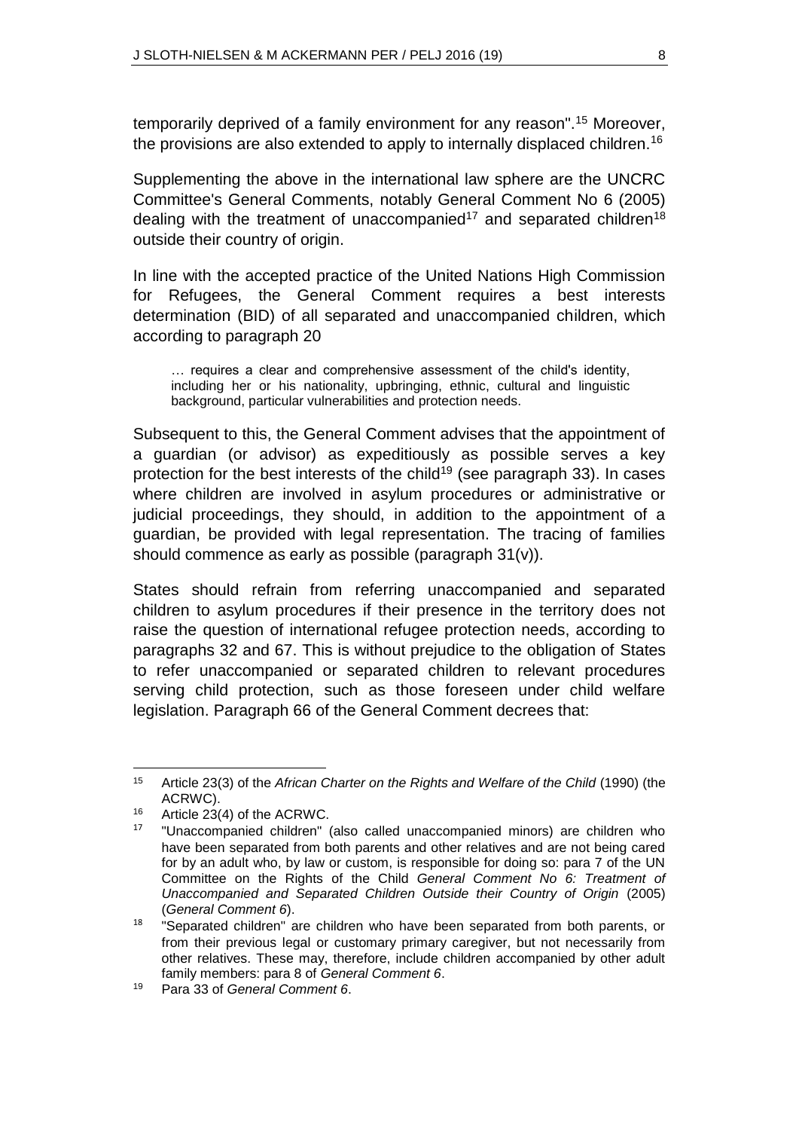temporarily deprived of a family environment for any reason".<sup>15</sup> Moreover, the provisions are also extended to apply to internally displaced children.<sup>16</sup>

Supplementing the above in the international law sphere are the UNCRC Committee's General Comments, notably General Comment No 6 (2005) dealing with the treatment of unaccompanied<sup>17</sup> and separated children<sup>18</sup> outside their country of origin.

In line with the accepted practice of the United Nations High Commission for Refugees, the General Comment requires a best interests determination (BID) of all separated and unaccompanied children, which according to paragraph 20

… requires a clear and comprehensive assessment of the child's identity, including her or his nationality, upbringing, ethnic, cultural and linguistic background, particular vulnerabilities and protection needs.

Subsequent to this, the General Comment advises that the appointment of a guardian (or advisor) as expeditiously as possible serves a key protection for the best interests of the child<sup>19</sup> (see paragraph 33). In cases where children are involved in asylum procedures or administrative or judicial proceedings, they should, in addition to the appointment of a guardian, be provided with legal representation. The tracing of families should commence as early as possible (paragraph 31(v)).

States should refrain from referring unaccompanied and separated children to asylum procedures if their presence in the territory does not raise the question of international refugee protection needs, according to paragraphs 32 and 67. This is without prejudice to the obligation of States to refer unaccompanied or separated children to relevant procedures serving child protection, such as those foreseen under child welfare legislation. Paragraph 66 of the General Comment decrees that:

<sup>15</sup> Article 23(3) of the *African Charter on the Rights and Welfare of the Child* (1990) (the ACRWC).

<sup>&</sup>lt;sup>16</sup> Article 23(4) of the ACRWC.<br><sup>17</sup> "Unaccompanied children"

<sup>17</sup> "Unaccompanied children" (also called unaccompanied minors) are children who have been separated from both parents and other relatives and are not being cared for by an adult who, by law or custom, is responsible for doing so: para 7 of the UN Committee on the Rights of the Child *General Comment No 6: Treatment of Unaccompanied and Separated Children Outside their Country of Origin* (2005) (*General Comment 6*).

 $18$  "Separated children" are children who have been separated from both parents, or from their previous legal or customary primary caregiver, but not necessarily from other relatives. These may, therefore, include children accompanied by other adult family members: para 8 of *General Comment 6*.

<sup>19</sup> Para 33 of *General Comment 6*.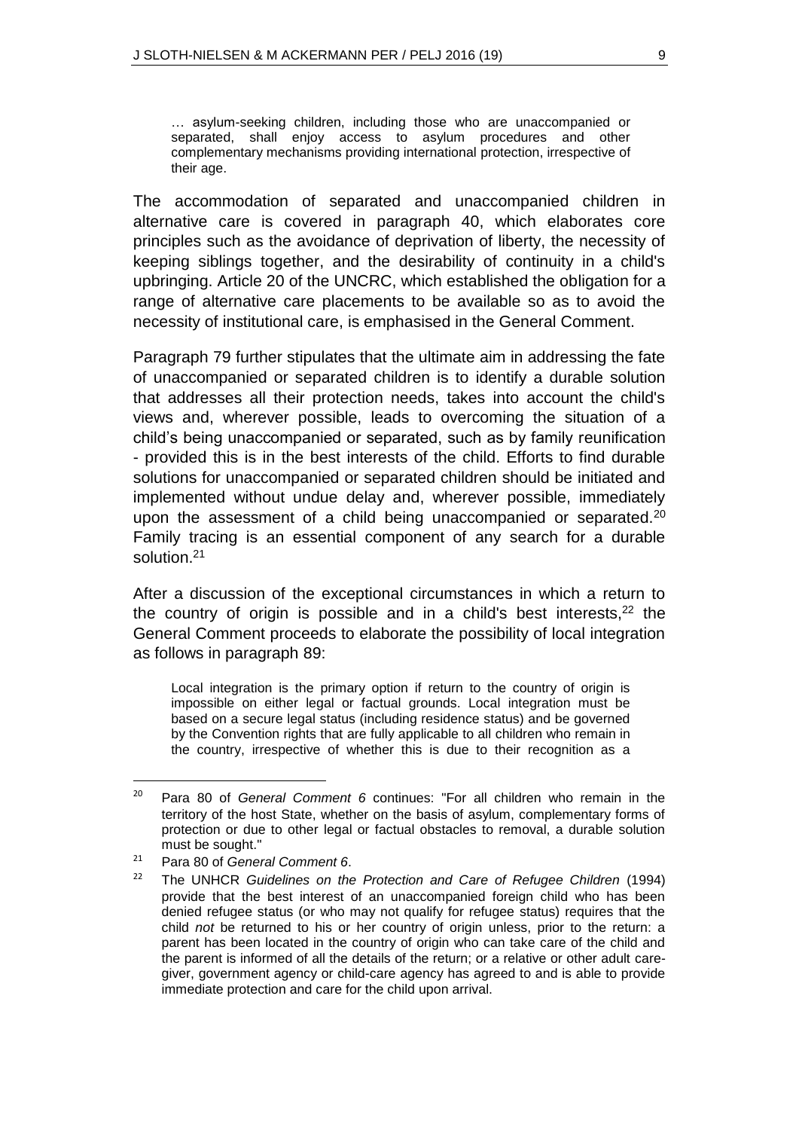… asylum-seeking children, including those who are unaccompanied or separated, shall enjoy access to asylum procedures and other complementary mechanisms providing international protection, irrespective of their age.

The accommodation of separated and unaccompanied children in alternative care is covered in paragraph 40, which elaborates core principles such as the avoidance of deprivation of liberty, the necessity of keeping siblings together, and the desirability of continuity in a child's upbringing. Article 20 of the UNCRC, which established the obligation for a range of alternative care placements to be available so as to avoid the necessity of institutional care, is emphasised in the General Comment.

Paragraph 79 further stipulates that the ultimate aim in addressing the fate of unaccompanied or separated children is to identify a durable solution that addresses all their protection needs, takes into account the child's views and, wherever possible, leads to overcoming the situation of a child's being unaccompanied or separated, such as by family reunification - provided this is in the best interests of the child. Efforts to find durable solutions for unaccompanied or separated children should be initiated and implemented without undue delay and, wherever possible, immediately upon the assessment of a child being unaccompanied or separated.<sup>20</sup> Family tracing is an essential component of any search for a durable solution<sup>21</sup>

After a discussion of the exceptional circumstances in which a return to the country of origin is possible and in a child's best interests,  $22$  the General Comment proceeds to elaborate the possibility of local integration as follows in paragraph 89:

Local integration is the primary option if return to the country of origin is impossible on either legal or factual grounds. Local integration must be based on a secure legal status (including residence status) and be governed by the Convention rights that are fully applicable to all children who remain in the country, irrespective of whether this is due to their recognition as a

<sup>20</sup> Para 80 of *General Comment 6* continues: "For all children who remain in the territory of the host State, whether on the basis of asylum, complementary forms of protection or due to other legal or factual obstacles to removal, a durable solution must be sought."

<sup>21</sup> Para 80 of *General Comment 6*.

<sup>22</sup> The UNHCR *Guidelines on the Protection and Care of Refugee Children* (1994) provide that the best interest of an unaccompanied foreign child who has been denied refugee status (or who may not qualify for refugee status) requires that the child *not* be returned to his or her country of origin unless, prior to the return: a parent has been located in the country of origin who can take care of the child and the parent is informed of all the details of the return; or a relative or other adult caregiver, government agency or child-care agency has agreed to and is able to provide immediate protection and care for the child upon arrival.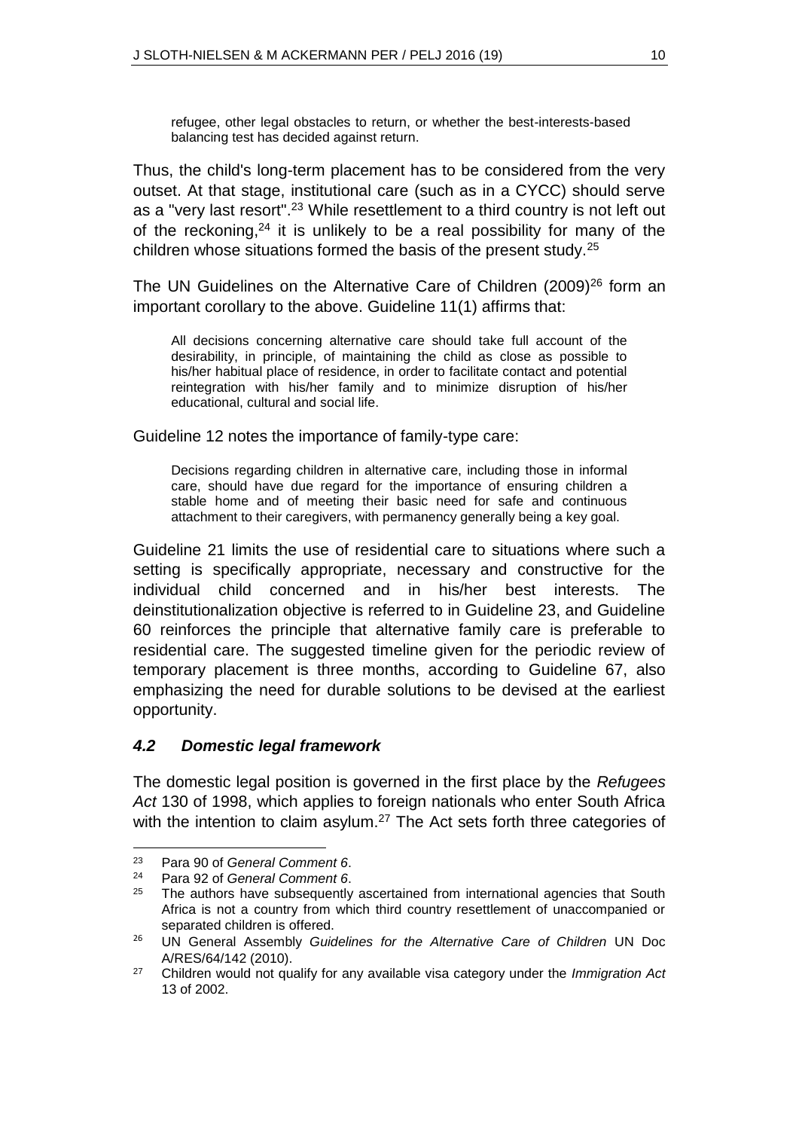refugee, other legal obstacles to return, or whether the best-interests-based balancing test has decided against return.

Thus, the child's long-term placement has to be considered from the very outset. At that stage, institutional care (such as in a CYCC) should serve as a "very last resort".<sup>23</sup> While resettlement to a third country is not left out of the reckoning,<sup>24</sup> it is unlikely to be a real possibility for many of the children whose situations formed the basis of the present study.<sup>25</sup>

The UN Guidelines on the Alternative Care of Children (2009)<sup>26</sup> form an important corollary to the above. Guideline 11(1) affirms that:

All decisions concerning alternative care should take full account of the desirability, in principle, of maintaining the child as close as possible to his/her habitual place of residence, in order to facilitate contact and potential reintegration with his/her family and to minimize disruption of his/her educational, cultural and social life.

Guideline 12 notes the importance of family-type care:

Decisions regarding children in alternative care, including those in informal care, should have due regard for the importance of ensuring children a stable home and of meeting their basic need for safe and continuous attachment to their caregivers, with permanency generally being a key goal.

Guideline 21 limits the use of residential care to situations where such a setting is specifically appropriate, necessary and constructive for the individual child concerned and in his/her best interests. The deinstitutionalization objective is referred to in Guideline 23, and Guideline 60 reinforces the principle that alternative family care is preferable to residential care. The suggested timeline given for the periodic review of temporary placement is three months, according to Guideline 67, also emphasizing the need for durable solutions to be devised at the earliest opportunity.

# *4.2 Domestic legal framework*

The domestic legal position is governed in the first place by the *Refugees Act* 130 of 1998, which applies to foreign nationals who enter South Africa with the intention to claim asylum.<sup>27</sup> The Act sets forth three categories of

<sup>23</sup> Para 90 of *General Comment 6*.

<sup>24</sup> Para 92 of *General Comment 6*.

The authors have subsequently ascertained from international agencies that South Africa is not a country from which third country resettlement of unaccompanied or separated children is offered.

<sup>26</sup> UN General Assembly *Guidelines for the Alternative Care of Children* UN Doc A/RES/64/142 (2010).

<sup>27</sup> Children would not qualify for any available visa category under the *Immigration Act* 13 of 2002.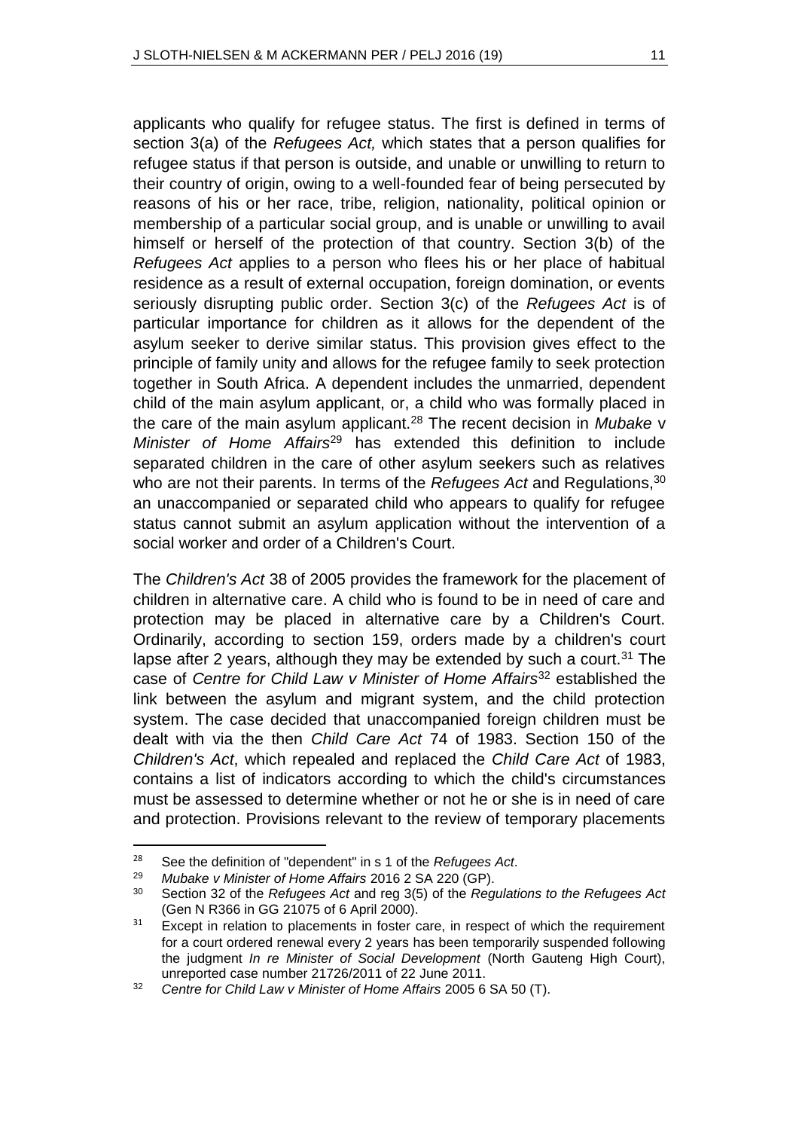applicants who qualify for refugee status. The first is defined in terms of section 3(a) of the *Refugees Act,* which states that a person qualifies for refugee status if that person is outside, and unable or unwilling to return to their country of origin, owing to a well-founded fear of being persecuted by reasons of his or her race, tribe, religion, nationality, political opinion or membership of a particular social group, and is unable or unwilling to avail himself or herself of the protection of that country. Section 3(b) of the *Refugees Act* applies to a person who flees his or her place of habitual residence as a result of external occupation, foreign domination, or events seriously disrupting public order. Section 3(c) of the *Refugees Act* is of particular importance for children as it allows for the dependent of the asylum seeker to derive similar status. This provision gives effect to the principle of family unity and allows for the refugee family to seek protection together in South Africa. A dependent includes the unmarried, dependent child of the main asylum applicant, or, a child who was formally placed in the care of the main asylum applicant.<sup>28</sup> The recent decision in *Mubake* v *Minister of Home Affairs*<sup>29</sup> has extended this definition to include separated children in the care of other asylum seekers such as relatives who are not their parents. In terms of the *Refugees Act* and Regulations,<sup>30</sup> an unaccompanied or separated child who appears to qualify for refugee status cannot submit an asylum application without the intervention of a social worker and order of a Children's Court.

The *Children's Act* 38 of 2005 provides the framework for the placement of children in alternative care. A child who is found to be in need of care and protection may be placed in alternative care by a Children's Court. Ordinarily, according to section 159, orders made by a children's court lapse after 2 years, although they may be extended by such a court.<sup>31</sup> The case of *Centre for Child Law v Minister of Home Affairs*<sup>32</sup> established the link between the asylum and migrant system, and the child protection system. The case decided that unaccompanied foreign children must be dealt with via the then *Child Care Act* 74 of 1983. Section 150 of the *Children's Act*, which repealed and replaced the *Child Care Act* of 1983, contains a list of indicators according to which the child's circumstances must be assessed to determine whether or not he or she is in need of care and protection. Provisions relevant to the review of temporary placements

<sup>28</sup> See the definition of "dependent" in s 1 of the *Refugees Act*.

<sup>29</sup> *Mubake v Minister of Home Affairs* 2016 2 SA 220 (GP).

<sup>30</sup> Section 32 of the *Refugees Act* and reg 3(5) of the *Regulations to the Refugees Act* (Gen N R366 in GG 21075 of 6 April 2000).

 $31$  Except in relation to placements in foster care, in respect of which the requirement for a court ordered renewal every 2 years has been temporarily suspended following the judgment *In re Minister of Social Development* (North Gauteng High Court), unreported case number 21726/2011 of 22 June 2011.

<sup>32</sup> *Centre for Child Law v Minister of Home Affairs* 2005 6 SA 50 (T).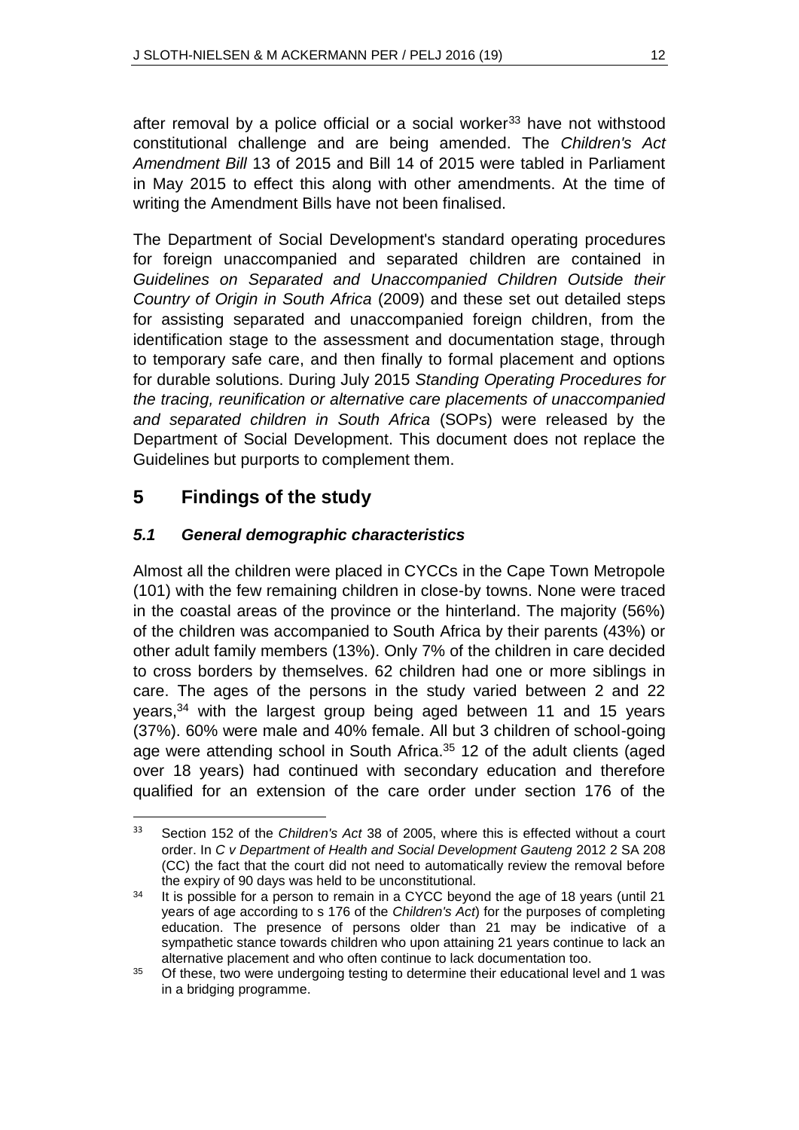after removal by a police official or a social worker $33$  have not withstood constitutional challenge and are being amended. The *Children's Act Amendment Bill* 13 of 2015 and Bill 14 of 2015 were tabled in Parliament in May 2015 to effect this along with other amendments. At the time of writing the Amendment Bills have not been finalised.

The Department of Social Development's standard operating procedures for foreign unaccompanied and separated children are contained in *Guidelines on Separated and Unaccompanied Children Outside their Country of Origin in South Africa* (2009) and these set out detailed steps for assisting separated and unaccompanied foreign children, from the identification stage to the assessment and documentation stage, through to temporary safe care, and then finally to formal placement and options for durable solutions. During July 2015 *Standing Operating Procedures for the tracing, reunification or alternative care placements of unaccompanied and separated children in South Africa* (SOPs) were released by the Department of Social Development. This document does not replace the Guidelines but purports to complement them.

# **5 Findings of the study**

l

# *5.1 General demographic characteristics*

Almost all the children were placed in CYCCs in the Cape Town Metropole (101) with the few remaining children in close-by towns. None were traced in the coastal areas of the province or the hinterland. The majority (56%) of the children was accompanied to South Africa by their parents (43%) or other adult family members (13%). Only 7% of the children in care decided to cross borders by themselves. 62 children had one or more siblings in care. The ages of the persons in the study varied between 2 and 22 years,<sup>34</sup> with the largest group being aged between 11 and 15 years (37%). 60% were male and 40% female. All but 3 children of school-going age were attending school in South Africa.<sup>35</sup> 12 of the adult clients (aged over 18 years) had continued with secondary education and therefore qualified for an extension of the care order under section 176 of the

<sup>33</sup> Section 152 of the *Children's Act* 38 of 2005, where this is effected without a court order. In *C v Department of Health and Social Development Gauteng* 2012 2 SA 208 (CC) the fact that the court did not need to automatically review the removal before the expiry of 90 days was held to be unconstitutional.

<sup>&</sup>lt;sup>34</sup> It is possible for a person to remain in a CYCC beyond the age of 18 years (until 21 years of age according to s 176 of the *Children's Act*) for the purposes of completing education. The presence of persons older than 21 may be indicative of a sympathetic stance towards children who upon attaining 21 years continue to lack an alternative placement and who often continue to lack documentation too.

 $35$  Of these, two were undergoing testing to determine their educational level and 1 was in a bridging programme.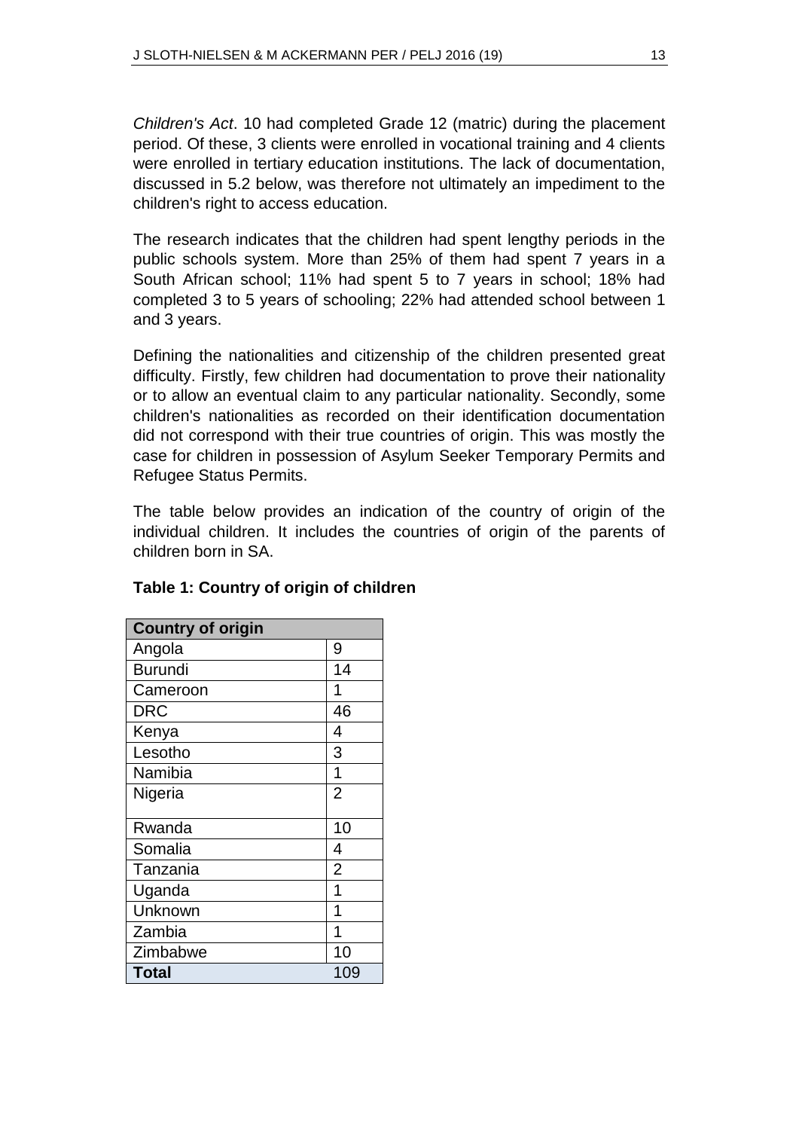*Children's Act*. 10 had completed Grade 12 (matric) during the placement period. Of these, 3 clients were enrolled in vocational training and 4 clients were enrolled in tertiary education institutions. The lack of documentation, discussed in 5.2 below, was therefore not ultimately an impediment to the children's right to access education.

The research indicates that the children had spent lengthy periods in the public schools system. More than 25% of them had spent 7 years in a South African school; 11% had spent 5 to 7 years in school; 18% had completed 3 to 5 years of schooling; 22% had attended school between 1 and 3 years.

Defining the nationalities and citizenship of the children presented great difficulty. Firstly, few children had documentation to prove their nationality or to allow an eventual claim to any particular nationality. Secondly, some children's nationalities as recorded on their identification documentation did not correspond with their true countries of origin. This was mostly the case for children in possession of Asylum Seeker Temporary Permits and Refugee Status Permits.

The table below provides an indication of the country of origin of the individual children. It includes the countries of origin of the parents of children born in SA.

| <b>Country of origin</b> |                |
|--------------------------|----------------|
| Angola                   | 9              |
| <b>Burundi</b>           | 14             |
| Cameroon                 | 1              |
| DRC                      | 46             |
| Kenya                    | 4              |
| Lesotho                  | 3              |
| Namibia                  | 1              |
| Nigeria                  | $\overline{2}$ |
|                          |                |
| Rwanda                   | 10             |
| Somalia                  | 4              |
| Tanzania                 | $\overline{2}$ |
| Uganda                   | 1              |
| Unknown                  | 1              |
| Zambia                   | 1              |
| Zimbabwe                 | 10             |
| <b>Total</b>             | 109            |

# **Table 1: Country of origin of children**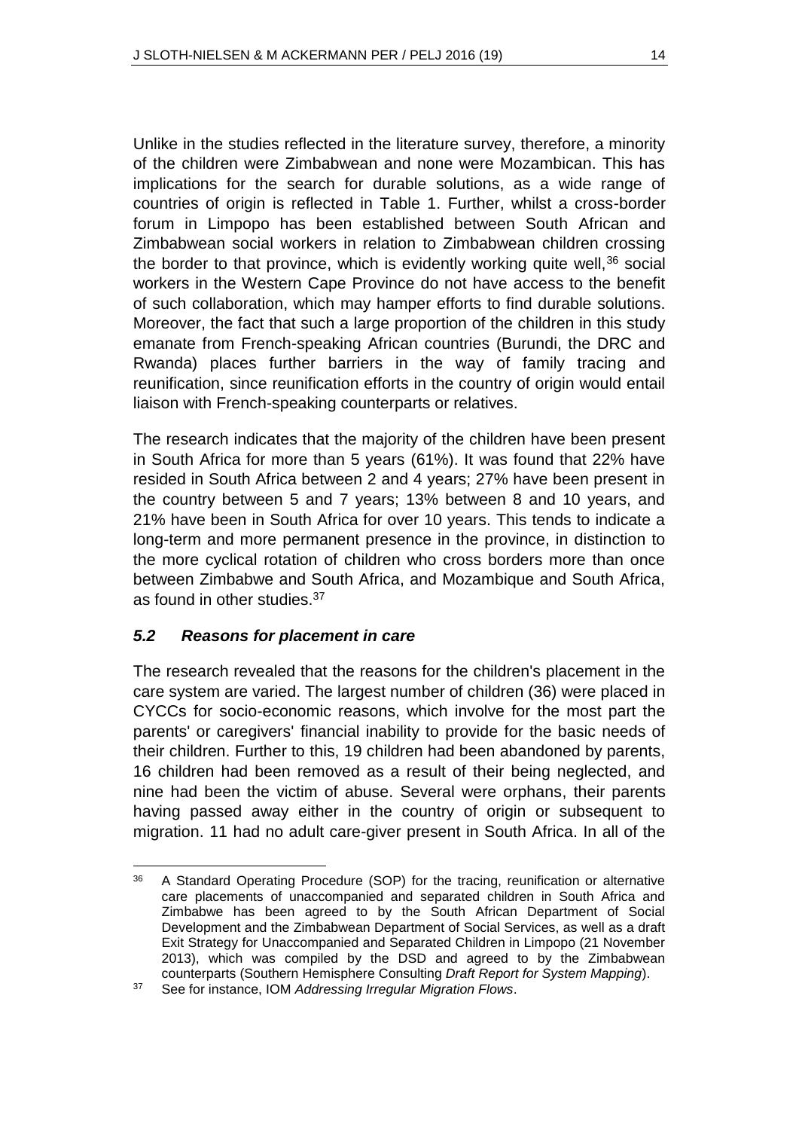Unlike in the studies reflected in the literature survey, therefore, a minority of the children were Zimbabwean and none were Mozambican. This has implications for the search for durable solutions, as a wide range of countries of origin is reflected in Table 1. Further, whilst a cross-border forum in Limpopo has been established between South African and Zimbabwean social workers in relation to Zimbabwean children crossing the border to that province, which is evidently working quite well,  $36$  social workers in the Western Cape Province do not have access to the benefit of such collaboration, which may hamper efforts to find durable solutions. Moreover, the fact that such a large proportion of the children in this study emanate from French-speaking African countries (Burundi, the DRC and Rwanda) places further barriers in the way of family tracing and reunification, since reunification efforts in the country of origin would entail liaison with French-speaking counterparts or relatives.

The research indicates that the majority of the children have been present in South Africa for more than 5 years (61%). It was found that 22% have resided in South Africa between 2 and 4 years; 27% have been present in the country between 5 and 7 years; 13% between 8 and 10 years, and 21% have been in South Africa for over 10 years. This tends to indicate a long-term and more permanent presence in the province, in distinction to the more cyclical rotation of children who cross borders more than once between Zimbabwe and South Africa, and Mozambique and South Africa, as found in other studies 37

# *5.2 Reasons for placement in care*

The research revealed that the reasons for the children's placement in the care system are varied. The largest number of children (36) were placed in CYCCs for socio-economic reasons, which involve for the most part the parents' or caregivers' financial inability to provide for the basic needs of their children. Further to this, 19 children had been abandoned by parents, 16 children had been removed as a result of their being neglected, and nine had been the victim of abuse. Several were orphans, their parents having passed away either in the country of origin or subsequent to migration. 11 had no adult care-giver present in South Africa. In all of the

l <sup>36</sup> A Standard Operating Procedure (SOP) for the tracing, reunification or alternative care placements of unaccompanied and separated children in South Africa and Zimbabwe has been agreed to by the South African Department of Social Development and the Zimbabwean Department of Social Services, as well as a draft Exit Strategy for Unaccompanied and Separated Children in Limpopo (21 November 2013), which was compiled by the DSD and agreed to by the Zimbabwean counterparts (Southern Hemisphere Consulting *Draft Report for System Mapping*).

<sup>37</sup> See for instance, IOM *Addressing Irregular Migration Flows*.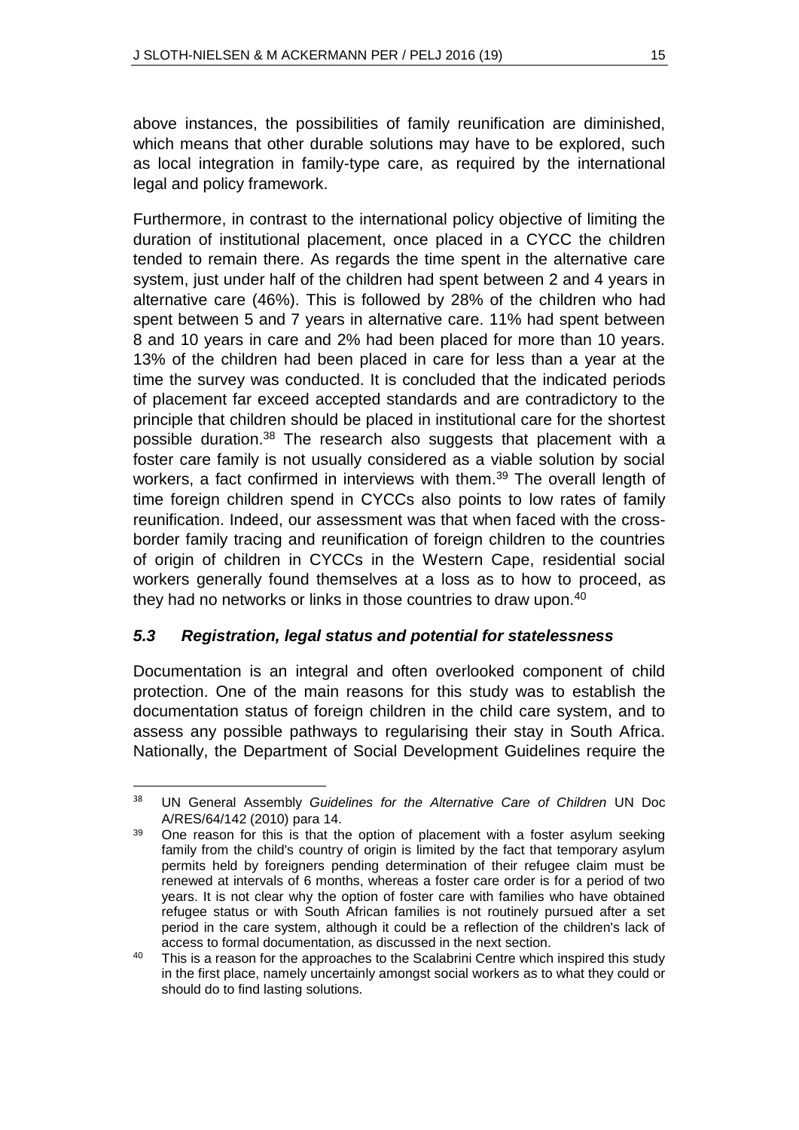above instances, the possibilities of family reunification are diminished, which means that other durable solutions may have to be explored, such as local integration in family-type care, as required by the international legal and policy framework.

Furthermore, in contrast to the international policy objective of limiting the duration of institutional placement, once placed in a CYCC the children tended to remain there. As regards the time spent in the alternative care system, just under half of the children had spent between 2 and 4 years in alternative care (46%). This is followed by 28% of the children who had spent between 5 and 7 years in alternative care. 11% had spent between 8 and 10 years in care and 2% had been placed for more than 10 years. 13% of the children had been placed in care for less than a year at the time the survey was conducted. It is concluded that the indicated periods of placement far exceed accepted standards and are contradictory to the principle that children should be placed in institutional care for the shortest possible duration.<sup>38</sup> The research also suggests that placement with a foster care family is not usually considered as a viable solution by social workers, a fact confirmed in interviews with them.<sup>39</sup> The overall length of time foreign children spend in CYCCs also points to low rates of family reunification. Indeed, our assessment was that when faced with the crossborder family tracing and reunification of foreign children to the countries of origin of children in CYCCs in the Western Cape, residential social workers generally found themselves at a loss as to how to proceed, as they had no networks or links in those countries to draw upon.<sup>40</sup>

# *5.3 Registration, legal status and potential for statelessness*

Documentation is an integral and often overlooked component of child protection. One of the main reasons for this study was to establish the documentation status of foreign children in the child care system, and to assess any possible pathways to regularising their stay in South Africa. Nationally, the Department of Social Development Guidelines require the

<sup>38</sup> UN General Assembly *Guidelines for the Alternative Care of Children* UN Doc A/RES/64/142 (2010) para 14.

 $39$  One reason for this is that the option of placement with a foster asylum seeking family from the child's country of origin is limited by the fact that temporary asylum permits held by foreigners pending determination of their refugee claim must be renewed at intervals of 6 months, whereas a foster care order is for a period of two years. It is not clear why the option of foster care with families who have obtained refugee status or with South African families is not routinely pursued after a set period in the care system, although it could be a reflection of the children's lack of access to formal documentation, as discussed in the next section.

<sup>&</sup>lt;sup>40</sup> This is a reason for the approaches to the Scalabrini Centre which inspired this study in the first place, namely uncertainly amongst social workers as to what they could or should do to find lasting solutions.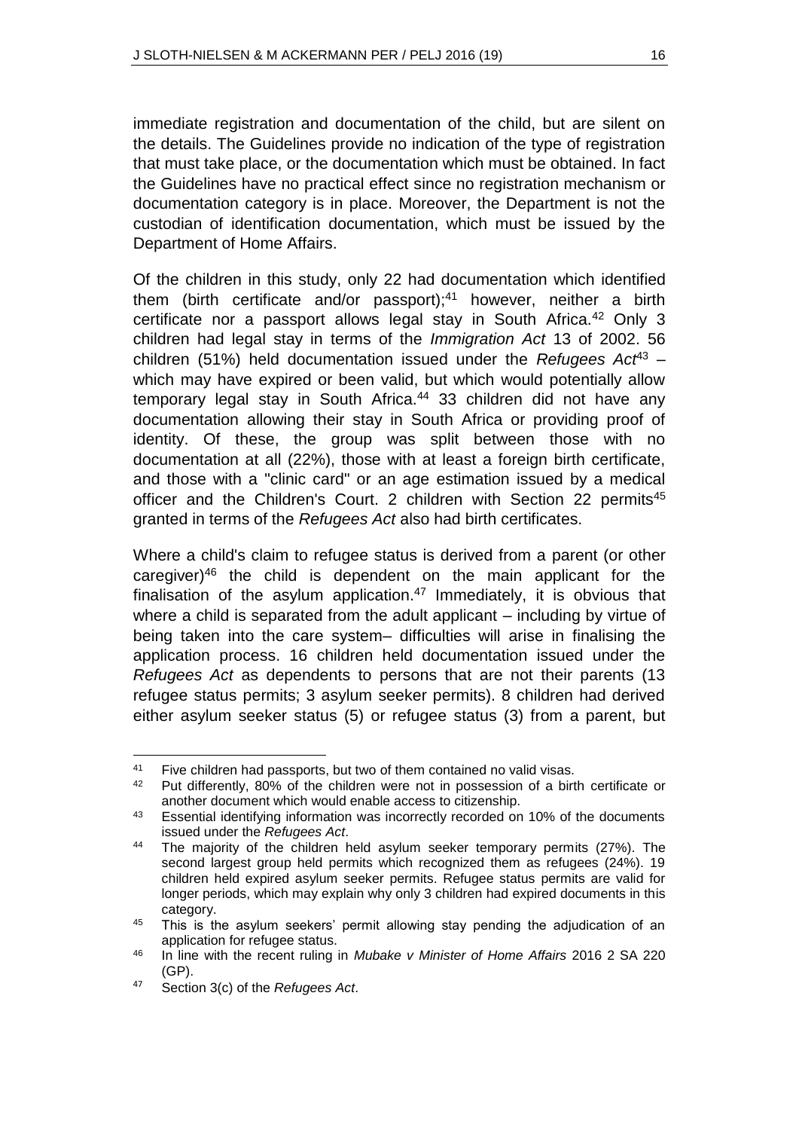immediate registration and documentation of the child, but are silent on the details. The Guidelines provide no indication of the type of registration that must take place, or the documentation which must be obtained. In fact the Guidelines have no practical effect since no registration mechanism or documentation category is in place. Moreover, the Department is not the custodian of identification documentation, which must be issued by the Department of Home Affairs.

Of the children in this study, only 22 had documentation which identified them (birth certificate and/or passport);<sup>41</sup> however, neither a birth certificate nor a passport allows legal stay in South Africa.<sup>42</sup> Only 3 children had legal stay in terms of the *Immigration Act* 13 of 2002. 56 children (51%) held documentation issued under the *Refugees Act*<sup>43</sup> – which may have expired or been valid, but which would potentially allow temporary legal stay in South Africa.<sup>44</sup> 33 children did not have any documentation allowing their stay in South Africa or providing proof of identity. Of these, the group was split between those with no documentation at all (22%), those with at least a foreign birth certificate, and those with a "clinic card" or an age estimation issued by a medical officer and the Children's Court. 2 children with Section 22 permits<sup>45</sup> granted in terms of the *Refugees Act* also had birth certificates.

Where a child's claim to refugee status is derived from a parent (or other caregiver)<sup>46</sup> the child is dependent on the main applicant for the finalisation of the asylum application. $47$  Immediately, it is obvious that where a child is separated from the adult applicant – including by virtue of being taken into the care system– difficulties will arise in finalising the application process. 16 children held documentation issued under the *Refugees Act* as dependents to persons that are not their parents (13 refugee status permits; 3 asylum seeker permits). 8 children had derived either asylum seeker status (5) or refugee status (3) from a parent, but

l <sup>41</sup> Five children had passports, but two of them contained no valid visas.<br><sup>42</sup> Put differently, 80% of the children were not in possession of a birt

<sup>42</sup> Put differently, 80% of the children were not in possession of a birth certificate or another document which would enable access to citizenship.

 $43$  Essential identifying information was incorrectly recorded on 10% of the documents issued under the *Refugees Act*.

<sup>&</sup>lt;sup>44</sup> The majority of the children held asylum seeker temporary permits (27%). The second largest group held permits which recognized them as refugees (24%). 19 children held expired asylum seeker permits. Refugee status permits are valid for longer periods, which may explain why only 3 children had expired documents in this category.

<sup>&</sup>lt;sup>45</sup> This is the asylum seekers' permit allowing stay pending the adjudication of an application for refugee status.

<sup>46</sup> In line with the recent ruling in *Mubake v Minister of Home Affairs* 2016 2 SA 220 (GP).

<sup>47</sup> Section 3(c) of the *Refugees Act*.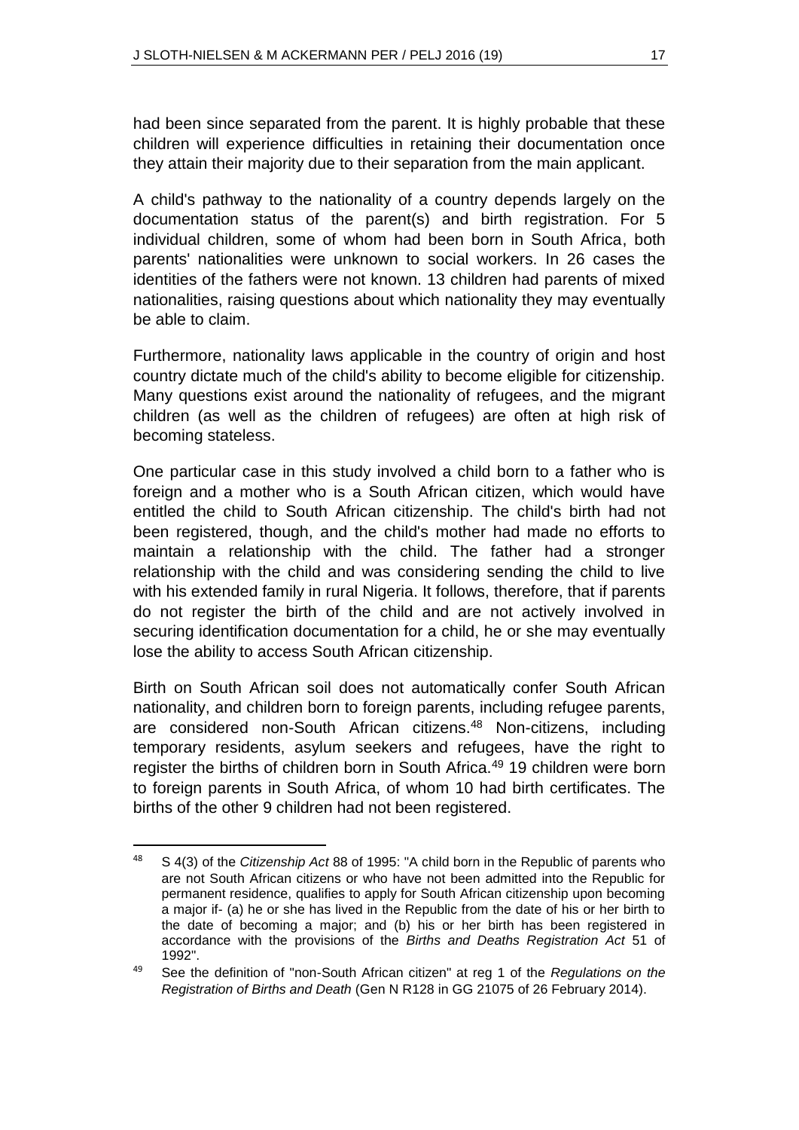had been since separated from the parent. It is highly probable that these children will experience difficulties in retaining their documentation once they attain their majority due to their separation from the main applicant.

A child's pathway to the nationality of a country depends largely on the documentation status of the parent(s) and birth registration. For 5 individual children, some of whom had been born in South Africa, both parents' nationalities were unknown to social workers. In 26 cases the identities of the fathers were not known. 13 children had parents of mixed nationalities, raising questions about which nationality they may eventually be able to claim.

Furthermore, nationality laws applicable in the country of origin and host country dictate much of the child's ability to become eligible for citizenship. Many questions exist around the nationality of refugees, and the migrant children (as well as the children of refugees) are often at high risk of becoming stateless.

One particular case in this study involved a child born to a father who is foreign and a mother who is a South African citizen, which would have entitled the child to South African citizenship. The child's birth had not been registered, though, and the child's mother had made no efforts to maintain a relationship with the child. The father had a stronger relationship with the child and was considering sending the child to live with his extended family in rural Nigeria. It follows, therefore, that if parents do not register the birth of the child and are not actively involved in securing identification documentation for a child, he or she may eventually lose the ability to access South African citizenship.

Birth on South African soil does not automatically confer South African nationality, and children born to foreign parents, including refugee parents, are considered non-South African citizens.<sup>48</sup> Non-citizens, including temporary residents, asylum seekers and refugees, have the right to register the births of children born in South Africa.<sup>49</sup> 19 children were born to foreign parents in South Africa, of whom 10 had birth certificates. The births of the other 9 children had not been registered.

<sup>48</sup> S 4(3) of the *Citizenship Act* 88 of 1995: "A child born in the Republic of parents who are not South African citizens or who have not been admitted into the Republic for permanent residence, qualifies to apply for South African citizenship upon becoming a major if- (a) he or she has lived in the Republic from the date of his or her birth to the date of becoming a major; and (b) his or her birth has been registered in accordance with the provisions of the *Births and Deaths Registration Act* 51 of 1992".

<sup>49</sup> See the definition of "non-South African citizen" at reg 1 of the *Regulations on the Registration of Births and Death* (Gen N R128 in GG 21075 of 26 February 2014).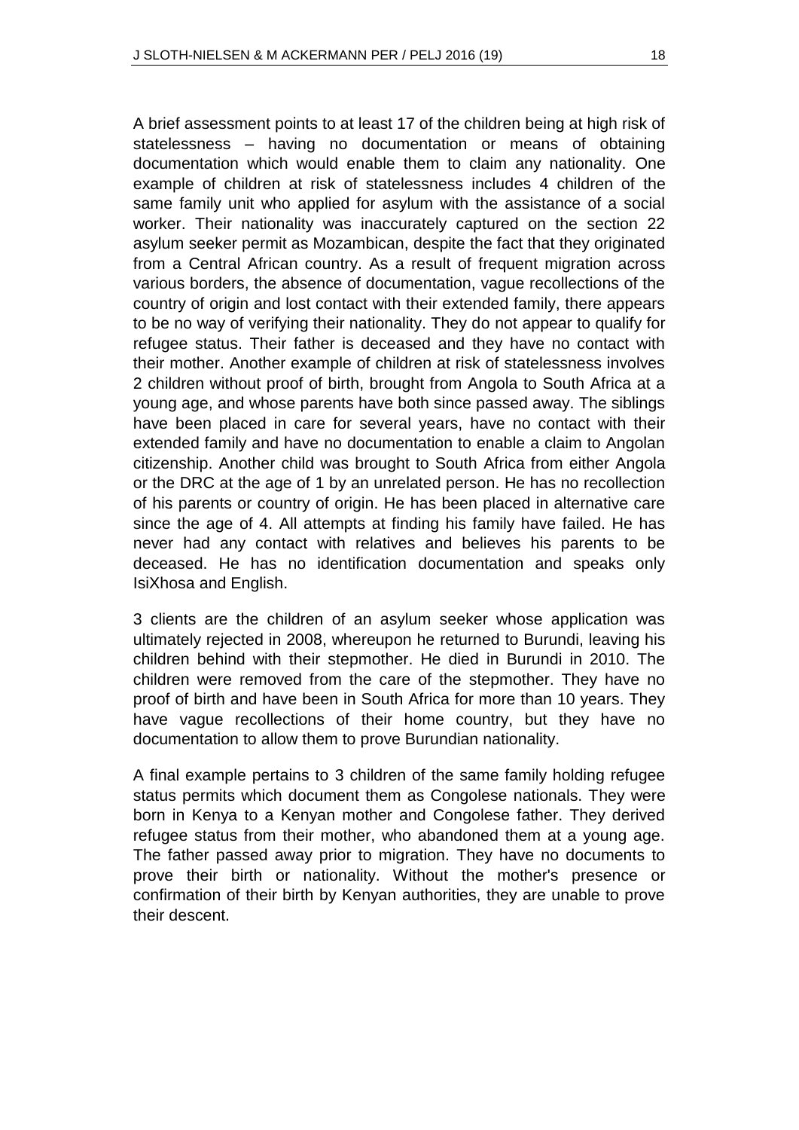A brief assessment points to at least 17 of the children being at high risk of statelessness – having no documentation or means of obtaining documentation which would enable them to claim any nationality. One example of children at risk of statelessness includes 4 children of the same family unit who applied for asylum with the assistance of a social worker. Their nationality was inaccurately captured on the section 22 asylum seeker permit as Mozambican, despite the fact that they originated from a Central African country. As a result of frequent migration across various borders, the absence of documentation, vague recollections of the country of origin and lost contact with their extended family, there appears to be no way of verifying their nationality. They do not appear to qualify for refugee status. Their father is deceased and they have no contact with their mother. Another example of children at risk of statelessness involves 2 children without proof of birth, brought from Angola to South Africa at a young age, and whose parents have both since passed away. The siblings have been placed in care for several years, have no contact with their extended family and have no documentation to enable a claim to Angolan citizenship. Another child was brought to South Africa from either Angola or the DRC at the age of 1 by an unrelated person. He has no recollection of his parents or country of origin. He has been placed in alternative care since the age of 4. All attempts at finding his family have failed. He has never had any contact with relatives and believes his parents to be deceased. He has no identification documentation and speaks only IsiXhosa and English.

3 clients are the children of an asylum seeker whose application was ultimately rejected in 2008, whereupon he returned to Burundi, leaving his children behind with their stepmother. He died in Burundi in 2010. The children were removed from the care of the stepmother. They have no proof of birth and have been in South Africa for more than 10 years. They have vague recollections of their home country, but they have no documentation to allow them to prove Burundian nationality.

A final example pertains to 3 children of the same family holding refugee status permits which document them as Congolese nationals. They were born in Kenya to a Kenyan mother and Congolese father. They derived refugee status from their mother, who abandoned them at a young age. The father passed away prior to migration. They have no documents to prove their birth or nationality. Without the mother's presence or confirmation of their birth by Kenyan authorities, they are unable to prove their descent.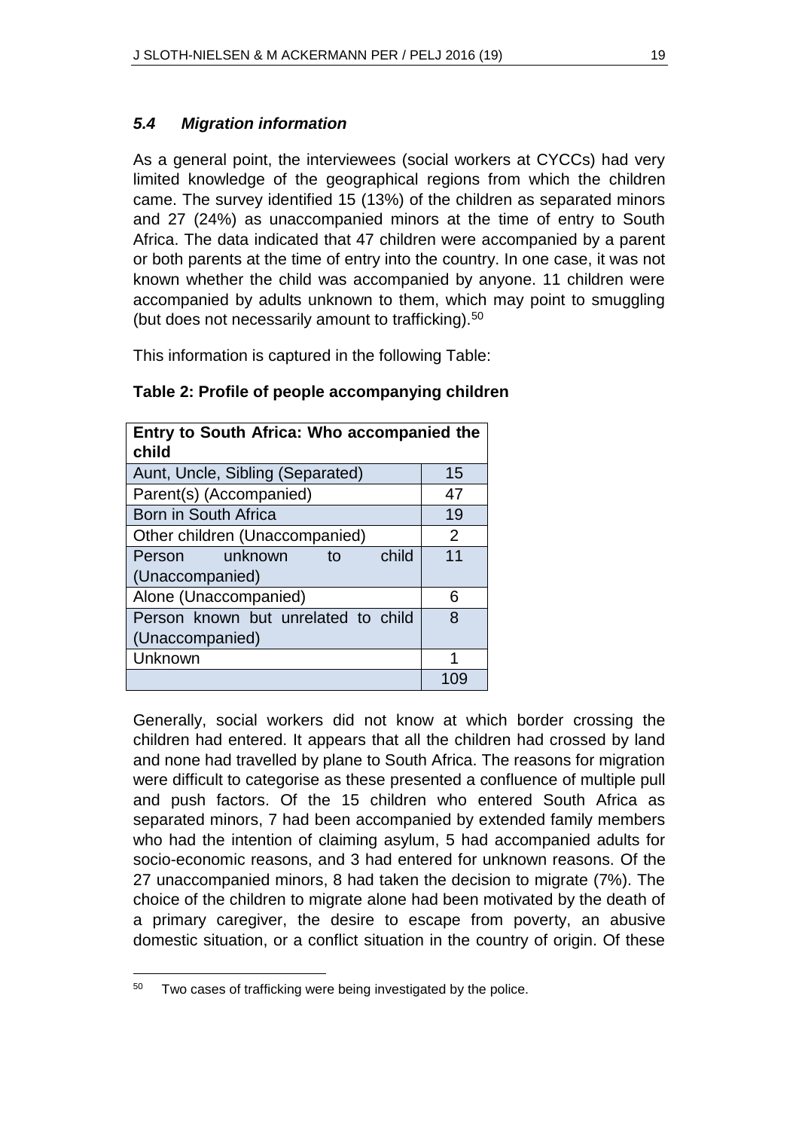## *5.4 Migration information*

As a general point, the interviewees (social workers at CYCCs) had very limited knowledge of the geographical regions from which the children came. The survey identified 15 (13%) of the children as separated minors and 27 (24%) as unaccompanied minors at the time of entry to South Africa. The data indicated that 47 children were accompanied by a parent or both parents at the time of entry into the country. In one case, it was not known whether the child was accompanied by anyone. 11 children were accompanied by adults unknown to them, which may point to smuggling (but does not necessarily amount to trafficking).<sup>50</sup>

This information is captured in the following Table:

| Entry to South Africa: Who accompanied the<br>child    |    |  |
|--------------------------------------------------------|----|--|
| Aunt, Uncle, Sibling (Separated)                       | 15 |  |
| Parent(s) (Accompanied)                                | 47 |  |
| Born in South Africa                                   | 19 |  |
| Other children (Unaccompanied)                         | 2  |  |
| Person<br>unknown<br>child<br>to<br>(Unaccompanied)    | 11 |  |
| Alone (Unaccompanied)                                  | 6  |  |
| Person known but unrelated to child<br>(Unaccompanied) | 8  |  |
| Unknown                                                |    |  |
|                                                        |    |  |

## **Table 2: Profile of people accompanying children**

Generally, social workers did not know at which border crossing the children had entered. It appears that all the children had crossed by land and none had travelled by plane to South Africa. The reasons for migration were difficult to categorise as these presented a confluence of multiple pull and push factors. Of the 15 children who entered South Africa as separated minors, 7 had been accompanied by extended family members who had the intention of claiming asylum, 5 had accompanied adults for socio-economic reasons, and 3 had entered for unknown reasons. Of the 27 unaccompanied minors, 8 had taken the decision to migrate (7%). The choice of the children to migrate alone had been motivated by the death of a primary caregiver, the desire to escape from poverty, an abusive domestic situation, or a conflict situation in the country of origin. Of these

<sup>&</sup>lt;sup>50</sup> Two cases of trafficking were being investigated by the police.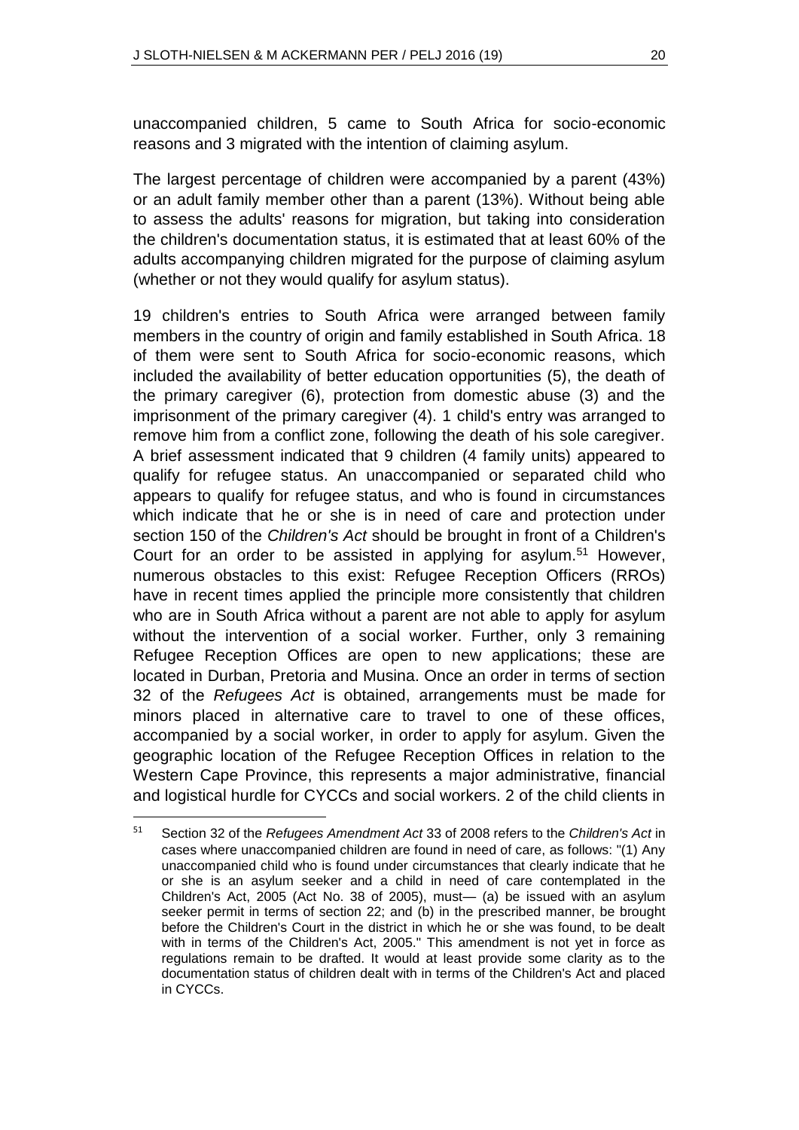unaccompanied children, 5 came to South Africa for socio-economic reasons and 3 migrated with the intention of claiming asylum.

The largest percentage of children were accompanied by a parent (43%) or an adult family member other than a parent (13%). Without being able to assess the adults' reasons for migration, but taking into consideration the children's documentation status, it is estimated that at least 60% of the adults accompanying children migrated for the purpose of claiming asylum (whether or not they would qualify for asylum status).

19 children's entries to South Africa were arranged between family members in the country of origin and family established in South Africa. 18 of them were sent to South Africa for socio-economic reasons, which included the availability of better education opportunities (5), the death of the primary caregiver (6), protection from domestic abuse (3) and the imprisonment of the primary caregiver (4). 1 child's entry was arranged to remove him from a conflict zone, following the death of his sole caregiver. A brief assessment indicated that 9 children (4 family units) appeared to qualify for refugee status. An unaccompanied or separated child who appears to qualify for refugee status, and who is found in circumstances which indicate that he or she is in need of care and protection under section 150 of the *Children's Act* should be brought in front of a Children's Court for an order to be assisted in applying for asylum.<sup>51</sup> However, numerous obstacles to this exist: Refugee Reception Officers (RROs) have in recent times applied the principle more consistently that children who are in South Africa without a parent are not able to apply for asylum without the intervention of a social worker. Further, only 3 remaining Refugee Reception Offices are open to new applications; these are located in Durban, Pretoria and Musina. Once an order in terms of section 32 of the *Refugees Act* is obtained, arrangements must be made for minors placed in alternative care to travel to one of these offices, accompanied by a social worker, in order to apply for asylum. Given the geographic location of the Refugee Reception Offices in relation to the Western Cape Province, this represents a major administrative, financial and logistical hurdle for CYCCs and social workers. 2 of the child clients in

<sup>51</sup> Section 32 of the *Refugees Amendment Act* 33 of 2008 refers to the *Children's Act* in cases where unaccompanied children are found in need of care, as follows: "(1) Any unaccompanied child who is found under circumstances that clearly indicate that he or she is an asylum seeker and a child in need of care contemplated in the Children's Act, 2005 (Act No. 38 of 2005), must— (a) be issued with an asylum seeker permit in terms of section 22; and (b) in the prescribed manner, be brought before the Children's Court in the district in which he or she was found, to be dealt with in terms of the Children's Act, 2005." This amendment is not yet in force as regulations remain to be drafted. It would at least provide some clarity as to the documentation status of children dealt with in terms of the Children's Act and placed in CYCCs.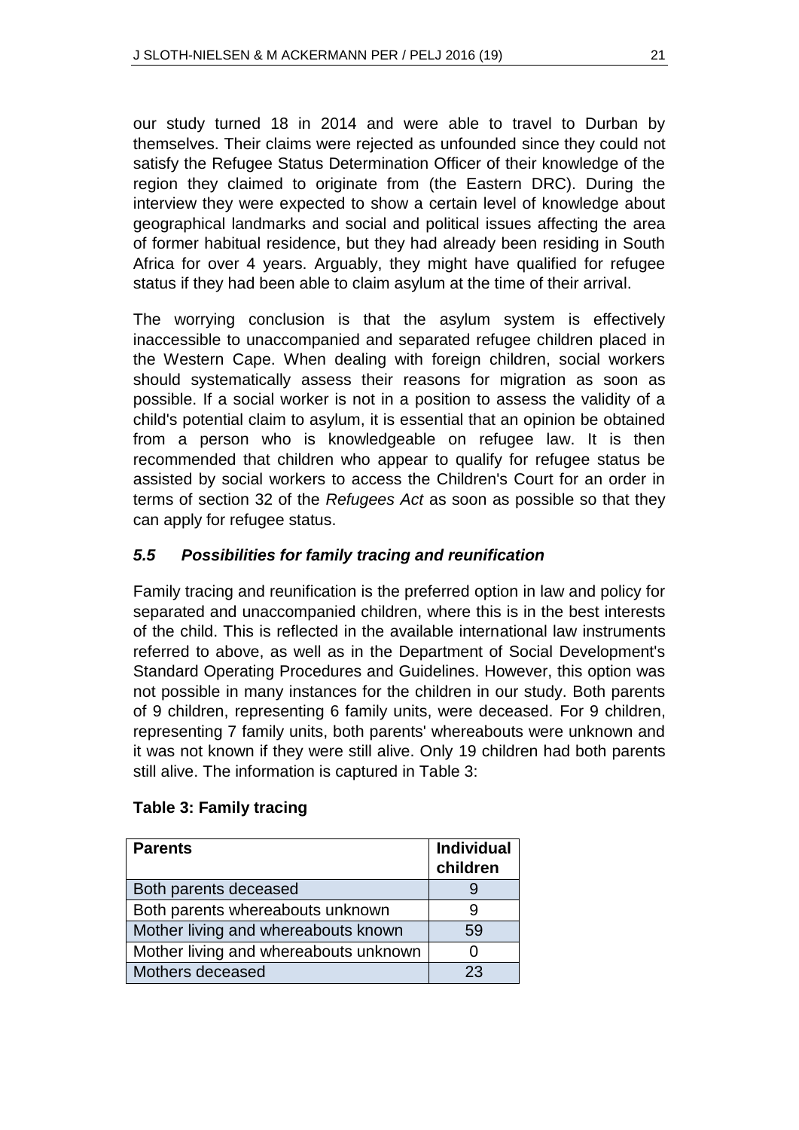our study turned 18 in 2014 and were able to travel to Durban by themselves. Their claims were rejected as unfounded since they could not satisfy the Refugee Status Determination Officer of their knowledge of the region they claimed to originate from (the Eastern DRC). During the interview they were expected to show a certain level of knowledge about geographical landmarks and social and political issues affecting the area of former habitual residence, but they had already been residing in South Africa for over 4 years. Arguably, they might have qualified for refugee status if they had been able to claim asylum at the time of their arrival.

The worrying conclusion is that the asylum system is effectively inaccessible to unaccompanied and separated refugee children placed in the Western Cape. When dealing with foreign children, social workers should systematically assess their reasons for migration as soon as possible. If a social worker is not in a position to assess the validity of a child's potential claim to asylum, it is essential that an opinion be obtained from a person who is knowledgeable on refugee law. It is then recommended that children who appear to qualify for refugee status be assisted by social workers to access the Children's Court for an order in terms of section 32 of the *Refugees Act* as soon as possible so that they can apply for refugee status.

## *5.5 Possibilities for family tracing and reunification*

Family tracing and reunification is the preferred option in law and policy for separated and unaccompanied children, where this is in the best interests of the child. This is reflected in the available international law instruments referred to above, as well as in the Department of Social Development's Standard Operating Procedures and Guidelines. However, this option was not possible in many instances for the children in our study. Both parents of 9 children, representing 6 family units, were deceased. For 9 children, representing 7 family units, both parents' whereabouts were unknown and it was not known if they were still alive. Only 19 children had both parents still alive. The information is captured in Table 3:

| <b>Parents</b>                        | <b>Individual</b><br>children |
|---------------------------------------|-------------------------------|
| Both parents deceased                 |                               |
| Both parents whereabouts unknown      | 9                             |
| Mother living and whereabouts known   | 59                            |
| Mother living and whereabouts unknown |                               |
| Mothers deceased                      | 23                            |

### **Table 3: Family tracing**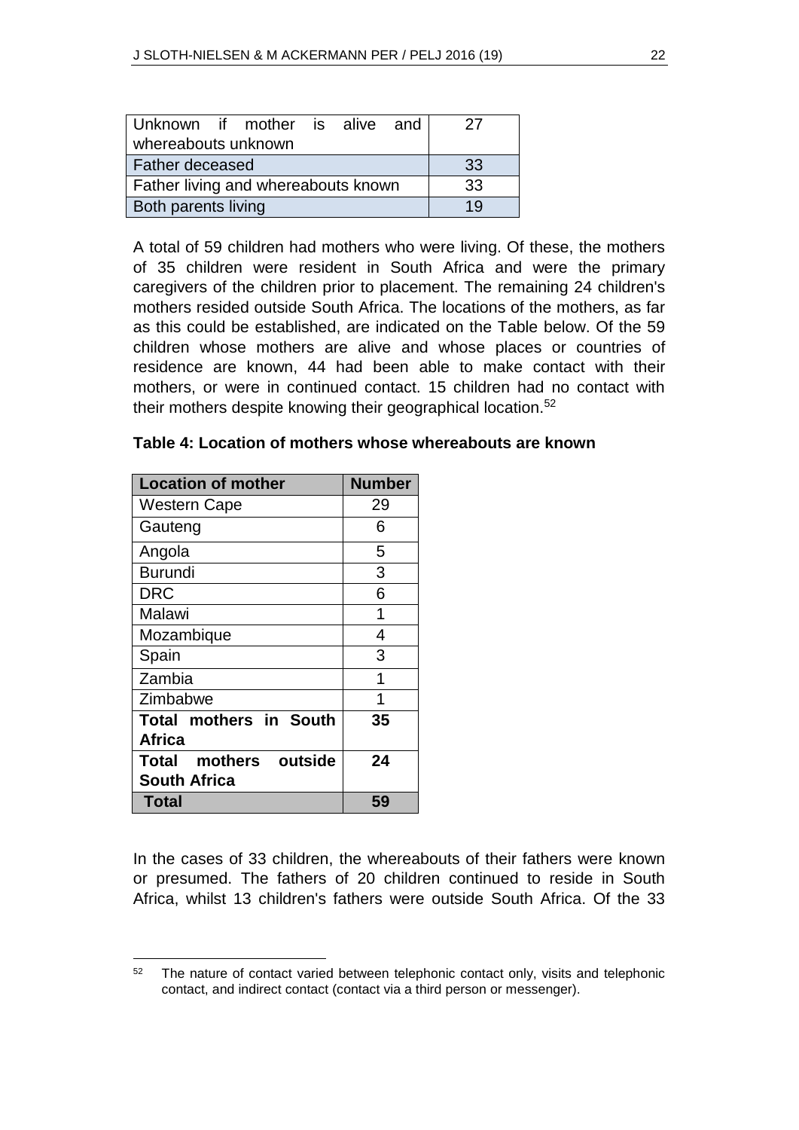| Unknown if mother is alive and      |  |  |  | 27             |
|-------------------------------------|--|--|--|----------------|
| whereabouts unknown                 |  |  |  |                |
| Father deceased                     |  |  |  | 33             |
| Father living and whereabouts known |  |  |  | 33             |
| Both parents living                 |  |  |  | 1 <sub>Q</sub> |

A total of 59 children had mothers who were living. Of these, the mothers of 35 children were resident in South Africa and were the primary caregivers of the children prior to placement. The remaining 24 children's mothers resided outside South Africa. The locations of the mothers, as far as this could be established, are indicated on the Table below. Of the 59 children whose mothers are alive and whose places or countries of residence are known, 44 had been able to make contact with their mothers, or were in continued contact. 15 children had no contact with their mothers despite knowing their geographical location.<sup>52</sup>

| <b>Location of mother</b>       | <b>Number</b> |
|---------------------------------|---------------|
| <b>Western Cape</b>             | 29            |
| Gauteng                         | 6             |
| Angola                          | 5             |
| <b>Burundi</b>                  | 3             |
| <b>DRC</b>                      | 6             |
| <b>Malawi</b>                   | 1             |
| Mozambique                      | 4             |
| Spain                           | 3             |
| Zambia                          | 1             |
| Zimbabwe                        | 1             |
| <b>Total mothers in South</b>   | 35            |
| Africa                          |               |
| mothers outside<br><b>Total</b> | 24            |
| <b>South Africa</b>             |               |
| <b>Total</b>                    | 59            |

l

#### **Table 4: Location of mothers whose whereabouts are known**

In the cases of 33 children, the whereabouts of their fathers were known or presumed. The fathers of 20 children continued to reside in South Africa, whilst 13 children's fathers were outside South Africa. Of the 33

 $52$  The nature of contact varied between telephonic contact only, visits and telephonic contact, and indirect contact (contact via a third person or messenger).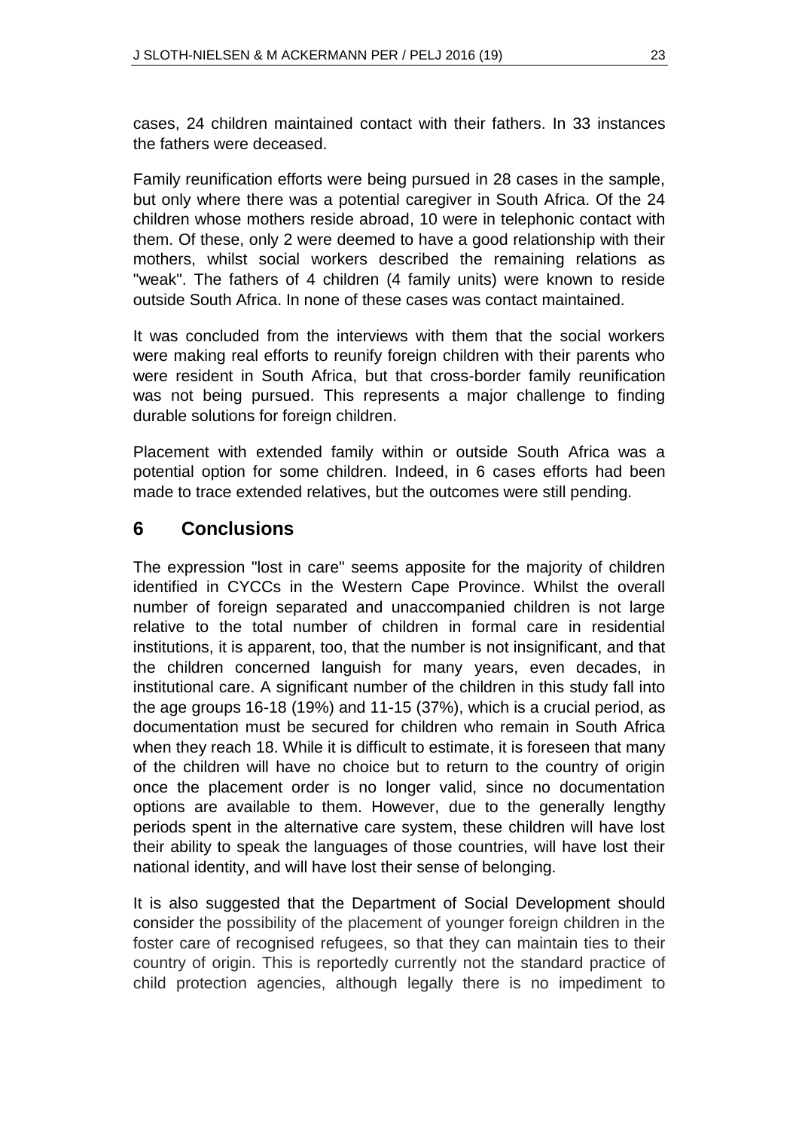cases, 24 children maintained contact with their fathers. In 33 instances the fathers were deceased.

Family reunification efforts were being pursued in 28 cases in the sample, but only where there was a potential caregiver in South Africa. Of the 24 children whose mothers reside abroad, 10 were in telephonic contact with them. Of these, only 2 were deemed to have a good relationship with their mothers, whilst social workers described the remaining relations as "weak". The fathers of 4 children (4 family units) were known to reside outside South Africa. In none of these cases was contact maintained.

It was concluded from the interviews with them that the social workers were making real efforts to reunify foreign children with their parents who were resident in South Africa, but that cross-border family reunification was not being pursued. This represents a major challenge to finding durable solutions for foreign children.

Placement with extended family within or outside South Africa was a potential option for some children. Indeed, in 6 cases efforts had been made to trace extended relatives, but the outcomes were still pending.

# **6 Conclusions**

The expression "lost in care" seems apposite for the majority of children identified in CYCCs in the Western Cape Province. Whilst the overall number of foreign separated and unaccompanied children is not large relative to the total number of children in formal care in residential institutions, it is apparent, too, that the number is not insignificant, and that the children concerned languish for many years, even decades, in institutional care. A significant number of the children in this study fall into the age groups 16-18 (19%) and 11-15 (37%), which is a crucial period, as documentation must be secured for children who remain in South Africa when they reach 18. While it is difficult to estimate, it is foreseen that many of the children will have no choice but to return to the country of origin once the placement order is no longer valid, since no documentation options are available to them. However, due to the generally lengthy periods spent in the alternative care system, these children will have lost their ability to speak the languages of those countries, will have lost their national identity, and will have lost their sense of belonging.

It is also suggested that the Department of Social Development should consider the possibility of the placement of younger foreign children in the foster care of recognised refugees, so that they can maintain ties to their country of origin. This is reportedly currently not the standard practice of child protection agencies, although legally there is no impediment to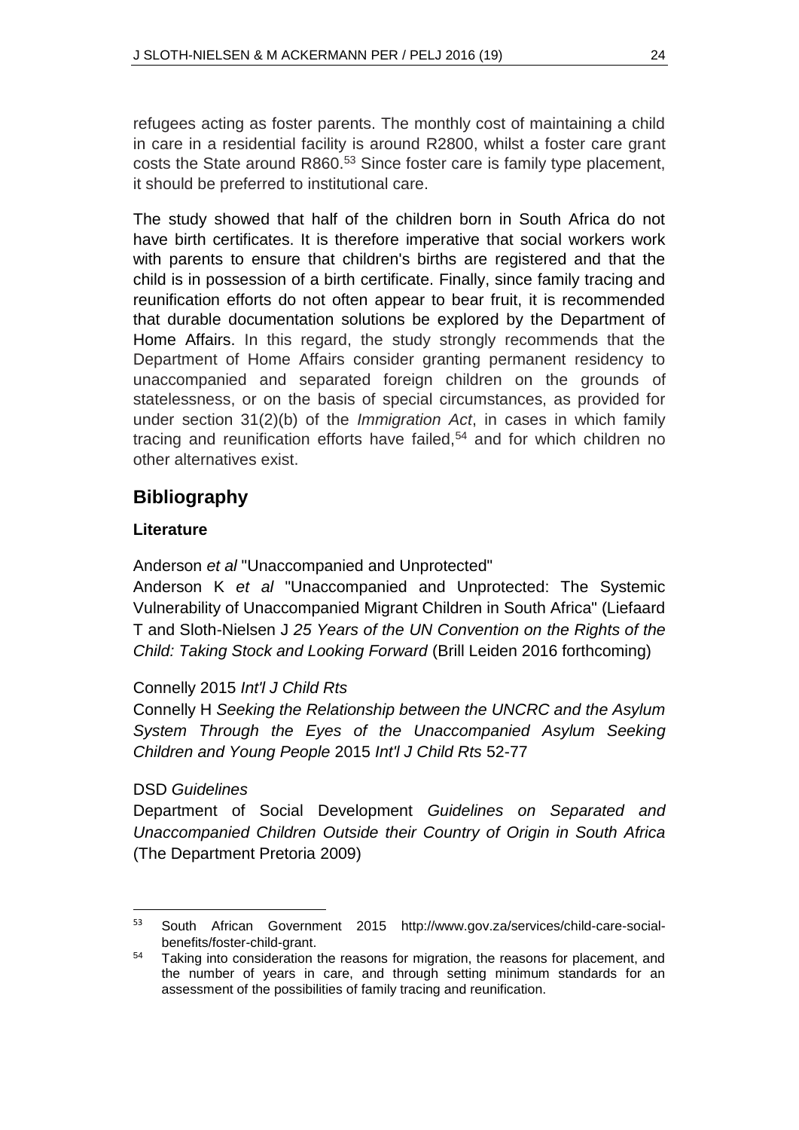refugees acting as foster parents. The monthly cost of maintaining a child in care in a residential facility is around R2800, whilst a foster care grant costs the State around R860.<sup>53</sup> Since foster care is family type placement, it should be preferred to institutional care.

The study showed that half of the children born in South Africa do not have birth certificates. It is therefore imperative that social workers work with parents to ensure that children's births are registered and that the child is in possession of a birth certificate. Finally, since family tracing and reunification efforts do not often appear to bear fruit, it is recommended that durable documentation solutions be explored by the Department of Home Affairs. In this regard, the study strongly recommends that the Department of Home Affairs consider granting permanent residency to unaccompanied and separated foreign children on the grounds of statelessness, or on the basis of special circumstances, as provided for under section 31(2)(b) of the *Immigration Act*, in cases in which family tracing and reunification efforts have failed.<sup>54</sup> and for which children no other alternatives exist.

# **Bibliography**

# **Literature**

Anderson *et al* "Unaccompanied and Unprotected"

Anderson K *et al* "Unaccompanied and Unprotected: The Systemic Vulnerability of Unaccompanied Migrant Children in South Africa" (Liefaard T and Sloth-Nielsen J *25 Years of the UN Convention on the Rights of the Child: Taking Stock and Looking Forward* (Brill Leiden 2016 forthcoming)

# Connelly 2015 *Int'l J Child Rts*

Connelly H *Seeking the Relationship between the UNCRC and the Asylum System Through the Eyes of the Unaccompanied Asylum Seeking Children and Young People* 2015 *Int'l J Child Rts* 52-77

# DSD *Guidelines*

l

Department of Social Development *Guidelines on Separated and Unaccompanied Children Outside their Country of Origin in South Africa*  (The Department Pretoria 2009)

<sup>53</sup> South African Government 2015 http://www.gov.za/services/child-care-socialbenefits/foster-child-grant.

<sup>&</sup>lt;sup>54</sup> Taking into consideration the reasons for migration, the reasons for placement, and the number of years in care, and through setting minimum standards for an assessment of the possibilities of family tracing and reunification.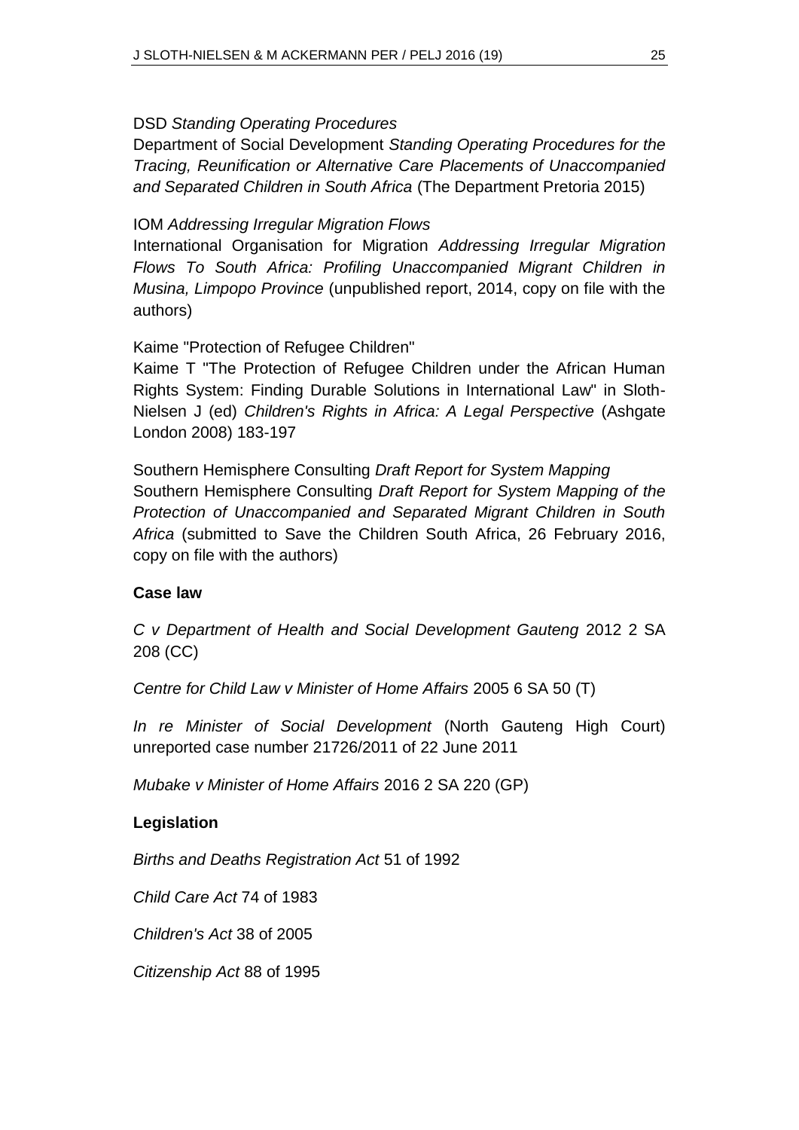### DSD *Standing Operating Procedures*

Department of Social Development *Standing Operating Procedures for the Tracing, Reunification or Alternative Care Placements of Unaccompanied and Separated Children in South Africa* (The Department Pretoria 2015)

### IOM *Addressing Irregular Migration Flows*

International Organisation for Migration *Addressing Irregular Migration Flows To South Africa: Profiling Unaccompanied Migrant Children in Musina, Limpopo Province* (unpublished report, 2014, copy on file with the authors)

Kaime "Protection of Refugee Children"

Kaime T "The Protection of Refugee Children under the African Human Rights System: Finding Durable Solutions in International Law" in Sloth-Nielsen J (ed) *Children's Rights in Africa: A Legal Perspective* (Ashgate London 2008) 183-197

Southern Hemisphere Consulting *Draft Report for System Mapping* Southern Hemisphere Consulting *Draft Report for System Mapping of the Protection of Unaccompanied and Separated Migrant Children in South Africa* (submitted to Save the Children South Africa, 26 February 2016, copy on file with the authors)

### **Case law**

*C v Department of Health and Social Development Gauteng* 2012 2 SA 208 (CC)

*Centre for Child Law v Minister of Home Affairs* 2005 6 SA 50 (T)

*In re Minister of Social Development* (North Gauteng High Court) unreported case number 21726/2011 of 22 June 2011

*Mubake v Minister of Home Affairs* 2016 2 SA 220 (GP)

### **Legislation**

*Births and Deaths Registration Act* 51 of 1992

*Child Care Act* 74 of 1983

*Children's Act* 38 of 2005

*Citizenship Act* 88 of 1995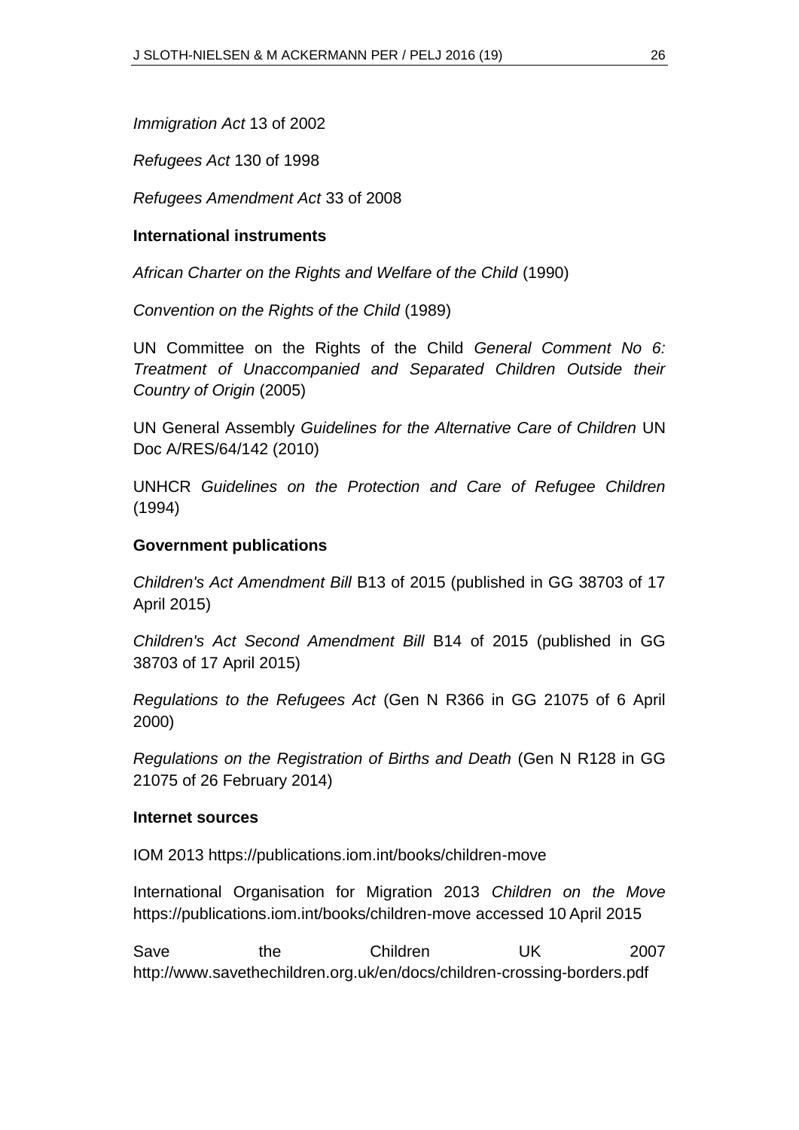### *Immigration Act* 13 of 2002

#### *Refugees Act* 130 of 1998

*Refugees Amendment Act* 33 of 2008

#### **International instruments**

*African Charter on the Rights and Welfare of the Child* (1990)

*Convention on the Rights of the Child* (1989)

UN Committee on the Rights of the Child *General Comment No 6: Treatment of Unaccompanied and Separated Children Outside their Country of Origin* (2005)

UN General Assembly *Guidelines for the Alternative Care of Children* UN Doc A/RES/64/142 (2010)

UNHCR *Guidelines on the Protection and Care of Refugee Children* (1994)

#### **Government publications**

*Children's Act Amendment Bill* B13 of 2015 (published in GG 38703 of 17 April 2015)

*Children's Act Second Amendment Bill* B14 of 2015 (published in GG 38703 of 17 April 2015)

*Regulations to the Refugees Act* (Gen N R366 in GG 21075 of 6 April 2000)

*Regulations on the Registration of Births and Death* (Gen N R128 in GG 21075 of 26 February 2014)

#### **Internet sources**

IOM 2013 https://publications.iom.int/books/children-move

International Organisation for Migration 2013 *Children on the Move* https://publications.iom.int/books/children-move accessed 10 April 2015

Save the Children UK 2007 http://www.savethechildren.org.uk/en/docs/children-crossing-borders.pdf